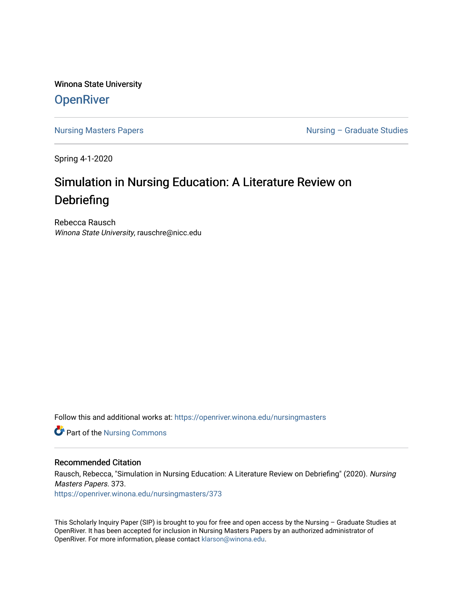Winona State University **OpenRiver** 

[Nursing Masters Papers](https://openriver.winona.edu/nursingmasters) **Nursing – Graduate Studies** 

Spring 4-1-2020

# Simulation in Nursing Education: A Literature Review on Debriefing

Rebecca Rausch Winona State University, rauschre@nicc.edu

Follow this and additional works at: [https://openriver.winona.edu/nursingmasters](https://openriver.winona.edu/nursingmasters?utm_source=openriver.winona.edu%2Fnursingmasters%2F373&utm_medium=PDF&utm_campaign=PDFCoverPages) 

**Part of the Nursing Commons** 

#### Recommended Citation

Rausch, Rebecca, "Simulation in Nursing Education: A Literature Review on Debriefing" (2020). Nursing Masters Papers. 373.

[https://openriver.winona.edu/nursingmasters/373](https://openriver.winona.edu/nursingmasters/373?utm_source=openriver.winona.edu%2Fnursingmasters%2F373&utm_medium=PDF&utm_campaign=PDFCoverPages) 

This Scholarly Inquiry Paper (SIP) is brought to you for free and open access by the Nursing – Graduate Studies at OpenRiver. It has been accepted for inclusion in Nursing Masters Papers by an authorized administrator of OpenRiver. For more information, please contact [klarson@winona.edu](mailto:klarson@winona.edu).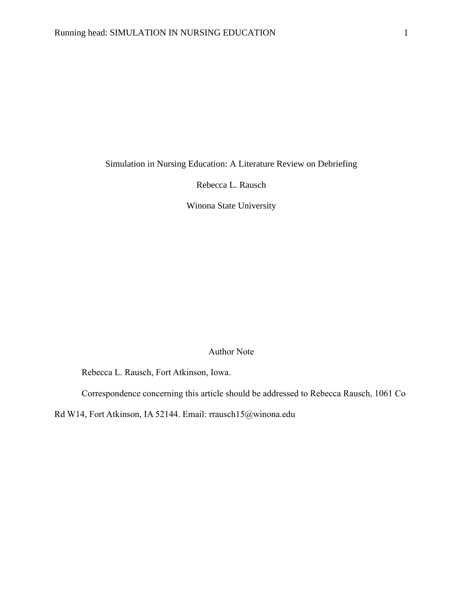Simulation in Nursing Education: A Literature Review on Debriefing

Rebecca L. Rausch

Winona State University

#### Author Note

Rebecca L. Rausch, Fort Atkinson, Iowa.

Correspondence concerning this article should be addressed to Rebecca Rausch, 1061 Co

Rd W14, Fort Atkinson, IA 52144. Email: rrausch15@winona.edu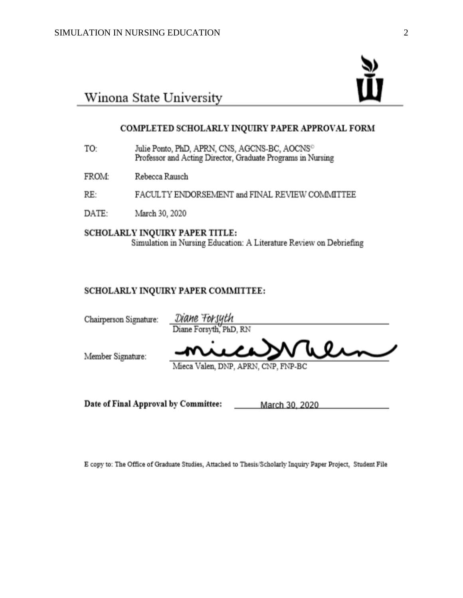

# Winona State University

#### COMPLETED SCHOLARLY INQUIRY PAPER APPROVAL FORM

- Julie Ponto, PhD, APRN, CNS, AGCNS-BC, AOCNS<sup>O</sup> TO: Professor and Acting Director, Graduate Programs in Nursing
- FROM: Rebecca Rausch
- RE: FACULTY ENDORSEMENT and FINAL REVIEW COMMITTEE
- DATE: March 30, 2020

SCHOLARLY INQUIRY PAPER TITLE: Simulation in Nursing Education: A Literature Review on Debriefing

#### SCHOLARLY INQUIRY PAPER COMMITTEE:

| Chairperson Signature: | Diane Forsyth<br>Diane Forsyth, PhD, RN |
|------------------------|-----------------------------------------|
| Member Signature:      | micaWhen                                |
|                        | Mieca Valen, DNP, APRN, CNP, FNP-BC     |

Date of Final Approval by Committee:

March 30, 2020

E copy to: The Office of Graduate Studies, Attached to Thesis/Scholarly Inquiry Paper Project, Student File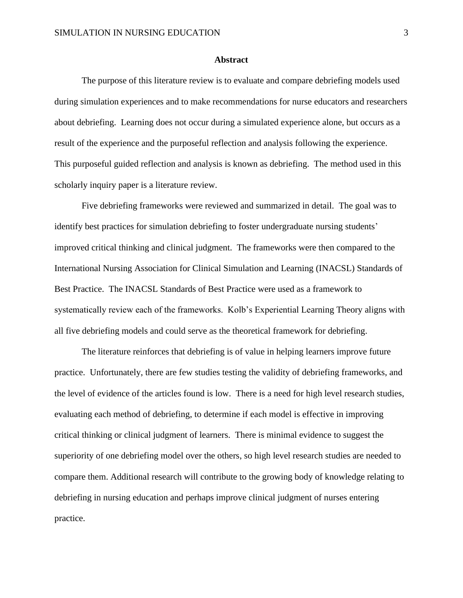#### **Abstract**

The purpose of this literature review is to evaluate and compare debriefing models used during simulation experiences and to make recommendations for nurse educators and researchers about debriefing. Learning does not occur during a simulated experience alone, but occurs as a result of the experience and the purposeful reflection and analysis following the experience. This purposeful guided reflection and analysis is known as debriefing. The method used in this scholarly inquiry paper is a literature review.

Five debriefing frameworks were reviewed and summarized in detail. The goal was to identify best practices for simulation debriefing to foster undergraduate nursing students' improved critical thinking and clinical judgment. The frameworks were then compared to the International Nursing Association for Clinical Simulation and Learning (INACSL) Standards of Best Practice. The INACSL Standards of Best Practice were used as a framework to systematically review each of the frameworks. Kolb's Experiential Learning Theory aligns with all five debriefing models and could serve as the theoretical framework for debriefing.

The literature reinforces that debriefing is of value in helping learners improve future practice. Unfortunately, there are few studies testing the validity of debriefing frameworks, and the level of evidence of the articles found is low. There is a need for high level research studies, evaluating each method of debriefing, to determine if each model is effective in improving critical thinking or clinical judgment of learners. There is minimal evidence to suggest the superiority of one debriefing model over the others, so high level research studies are needed to compare them. Additional research will contribute to the growing body of knowledge relating to debriefing in nursing education and perhaps improve clinical judgment of nurses entering practice.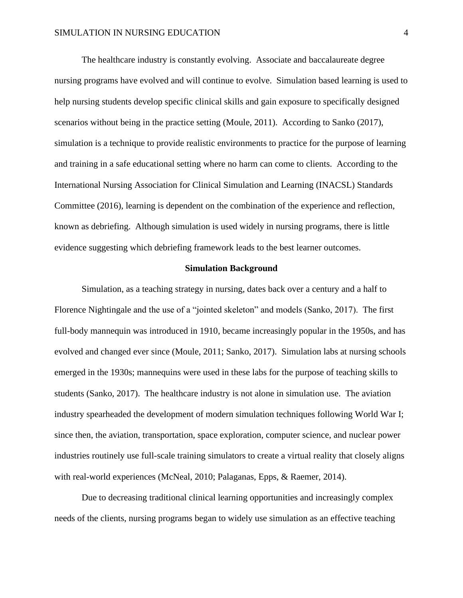The healthcare industry is constantly evolving. Associate and baccalaureate degree nursing programs have evolved and will continue to evolve. Simulation based learning is used to help nursing students develop specific clinical skills and gain exposure to specifically designed scenarios without being in the practice setting (Moule, 2011). According to Sanko (2017), simulation is a technique to provide realistic environments to practice for the purpose of learning and training in a safe educational setting where no harm can come to clients. According to the International Nursing Association for Clinical Simulation and Learning (INACSL) Standards Committee (2016), learning is dependent on the combination of the experience and reflection, known as debriefing. Although simulation is used widely in nursing programs, there is little evidence suggesting which debriefing framework leads to the best learner outcomes.

#### **Simulation Background**

Simulation, as a teaching strategy in nursing, dates back over a century and a half to Florence Nightingale and the use of a "jointed skeleton" and models (Sanko, 2017). The first full-body mannequin was introduced in 1910, became increasingly popular in the 1950s, and has evolved and changed ever since (Moule, 2011; Sanko, 2017). Simulation labs at nursing schools emerged in the 1930s; mannequins were used in these labs for the purpose of teaching skills to students (Sanko, 2017). The healthcare industry is not alone in simulation use. The aviation industry spearheaded the development of modern simulation techniques following World War I; since then, the aviation, transportation, space exploration, computer science, and nuclear power industries routinely use full-scale training simulators to create a virtual reality that closely aligns with real-world experiences (McNeal, 2010; Palaganas, Epps, & Raemer, 2014).

Due to decreasing traditional clinical learning opportunities and increasingly complex needs of the clients, nursing programs began to widely use simulation as an effective teaching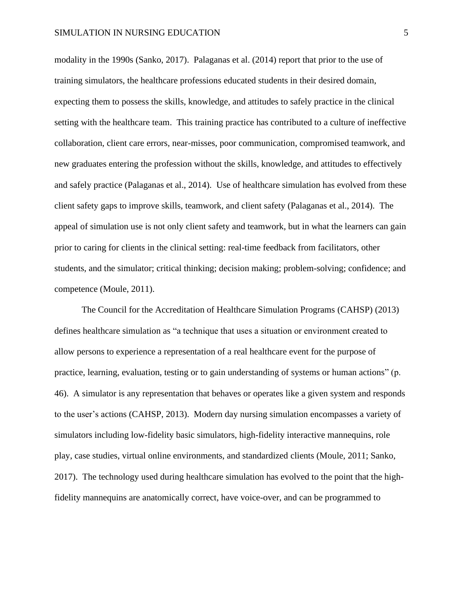modality in the 1990s (Sanko, 2017). Palaganas et al. (2014) report that prior to the use of training simulators, the healthcare professions educated students in their desired domain, expecting them to possess the skills, knowledge, and attitudes to safely practice in the clinical setting with the healthcare team. This training practice has contributed to a culture of ineffective collaboration, client care errors, near-misses, poor communication, compromised teamwork, and new graduates entering the profession without the skills, knowledge, and attitudes to effectively and safely practice (Palaganas et al., 2014). Use of healthcare simulation has evolved from these client safety gaps to improve skills, teamwork, and client safety (Palaganas et al., 2014). The appeal of simulation use is not only client safety and teamwork, but in what the learners can gain prior to caring for clients in the clinical setting: real-time feedback from facilitators, other students, and the simulator; critical thinking; decision making; problem-solving; confidence; and competence (Moule, 2011).

The Council for the Accreditation of Healthcare Simulation Programs (CAHSP) (2013) defines healthcare simulation as "a technique that uses a situation or environment created to allow persons to experience a representation of a real healthcare event for the purpose of practice, learning, evaluation, testing or to gain understanding of systems or human actions" (p. 46). A simulator is any representation that behaves or operates like a given system and responds to the user's actions (CAHSP, 2013). Modern day nursing simulation encompasses a variety of simulators including low-fidelity basic simulators, high-fidelity interactive mannequins, role play, case studies, virtual online environments, and standardized clients (Moule, 2011; Sanko, 2017). The technology used during healthcare simulation has evolved to the point that the highfidelity mannequins are anatomically correct, have voice-over, and can be programmed to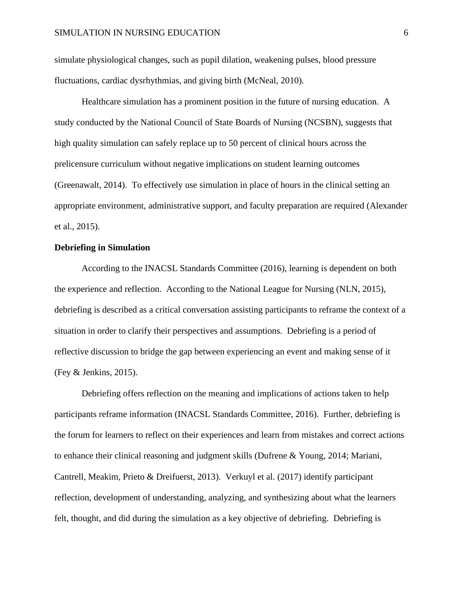simulate physiological changes, such as pupil dilation, weakening pulses, blood pressure fluctuations, cardiac dysrhythmias, and giving birth (McNeal, 2010).

Healthcare simulation has a prominent position in the future of nursing education. A study conducted by the National Council of State Boards of Nursing (NCSBN), suggests that high quality simulation can safely replace up to 50 percent of clinical hours across the prelicensure curriculum without negative implications on student learning outcomes (Greenawalt, 2014). To effectively use simulation in place of hours in the clinical setting an appropriate environment, administrative support, and faculty preparation are required (Alexander et al., 2015).

#### **Debriefing in Simulation**

According to the INACSL Standards Committee (2016), learning is dependent on both the experience and reflection. According to the National League for Nursing (NLN, 2015), debriefing is described as a critical conversation assisting participants to reframe the context of a situation in order to clarify their perspectives and assumptions. Debriefing is a period of reflective discussion to bridge the gap between experiencing an event and making sense of it (Fey & Jenkins, 2015).

Debriefing offers reflection on the meaning and implications of actions taken to help participants reframe information (INACSL Standards Committee, 2016). Further, debriefing is the forum for learners to reflect on their experiences and learn from mistakes and correct actions to enhance their clinical reasoning and judgment skills (Dufrene & Young, 2014; Mariani, Cantrell, Meakim, Prieto & Dreifuerst, 2013). Verkuyl et al. (2017) identify participant reflection, development of understanding, analyzing, and synthesizing about what the learners felt, thought, and did during the simulation as a key objective of debriefing. Debriefing is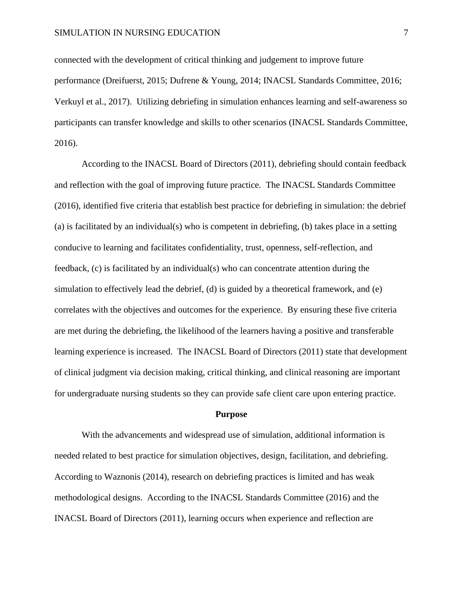connected with the development of critical thinking and judgement to improve future performance (Dreifuerst, 2015; Dufrene & Young, 2014; INACSL Standards Committee, 2016; Verkuyl et al., 2017). Utilizing debriefing in simulation enhances learning and self-awareness so participants can transfer knowledge and skills to other scenarios (INACSL Standards Committee, 2016).

According to the INACSL Board of Directors (2011), debriefing should contain feedback and reflection with the goal of improving future practice. The INACSL Standards Committee (2016), identified five criteria that establish best practice for debriefing in simulation: the debrief (a) is facilitated by an individual(s) who is competent in debriefing, (b) takes place in a setting conducive to learning and facilitates confidentiality, trust, openness, self-reflection, and feedback, (c) is facilitated by an individual(s) who can concentrate attention during the simulation to effectively lead the debrief,  $(d)$  is guided by a theoretical framework, and  $(e)$ correlates with the objectives and outcomes for the experience. By ensuring these five criteria are met during the debriefing, the likelihood of the learners having a positive and transferable learning experience is increased. The INACSL Board of Directors (2011) state that development of clinical judgment via decision making, critical thinking, and clinical reasoning are important for undergraduate nursing students so they can provide safe client care upon entering practice.

#### **Purpose**

With the advancements and widespread use of simulation, additional information is needed related to best practice for simulation objectives, design, facilitation, and debriefing. According to Waznonis (2014), research on debriefing practices is limited and has weak methodological designs. According to the INACSL Standards Committee (2016) and the INACSL Board of Directors (2011), learning occurs when experience and reflection are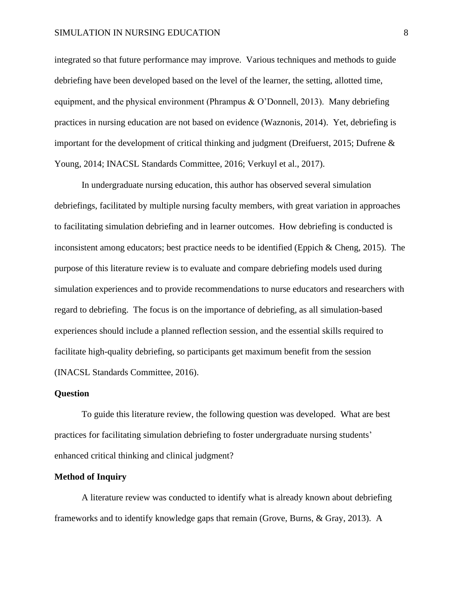integrated so that future performance may improve. Various techniques and methods to guide debriefing have been developed based on the level of the learner, the setting, allotted time, equipment, and the physical environment (Phrampus  $\&$  O'Donnell, 2013). Many debriefing practices in nursing education are not based on evidence (Waznonis, 2014). Yet, debriefing is important for the development of critical thinking and judgment (Dreifuerst, 2015; Dufrene & Young, 2014; INACSL Standards Committee, 2016; Verkuyl et al., 2017).

In undergraduate nursing education, this author has observed several simulation debriefings, facilitated by multiple nursing faculty members, with great variation in approaches to facilitating simulation debriefing and in learner outcomes. How debriefing is conducted is inconsistent among educators; best practice needs to be identified (Eppich & Cheng, 2015). The purpose of this literature review is to evaluate and compare debriefing models used during simulation experiences and to provide recommendations to nurse educators and researchers with regard to debriefing. The focus is on the importance of debriefing, as all simulation-based experiences should include a planned reflection session, and the essential skills required to facilitate high-quality debriefing, so participants get maximum benefit from the session (INACSL Standards Committee, 2016).

#### **Question**

To guide this literature review, the following question was developed. What are best practices for facilitating simulation debriefing to foster undergraduate nursing students' enhanced critical thinking and clinical judgment?

#### **Method of Inquiry**

A literature review was conducted to identify what is already known about debriefing frameworks and to identify knowledge gaps that remain (Grove, Burns, & Gray, 2013). A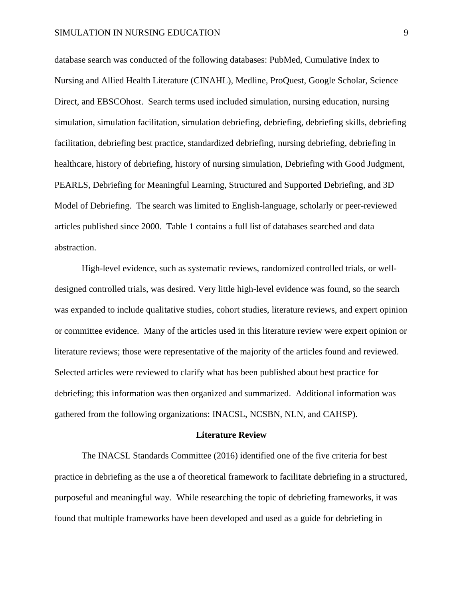database search was conducted of the following databases: PubMed, Cumulative Index to Nursing and Allied Health Literature (CINAHL), Medline, ProQuest, Google Scholar, Science Direct, and EBSCOhost. Search terms used included simulation, nursing education, nursing simulation, simulation facilitation, simulation debriefing, debriefing, debriefing skills, debriefing facilitation, debriefing best practice, standardized debriefing, nursing debriefing, debriefing in healthcare, history of debriefing, history of nursing simulation, Debriefing with Good Judgment, PEARLS, Debriefing for Meaningful Learning, Structured and Supported Debriefing, and 3D Model of Debriefing. The search was limited to English-language, scholarly or peer-reviewed articles published since 2000. Table 1 contains a full list of databases searched and data abstraction.

High-level evidence, such as systematic reviews, randomized controlled trials, or welldesigned controlled trials, was desired. Very little high-level evidence was found, so the search was expanded to include qualitative studies, cohort studies, literature reviews, and expert opinion or committee evidence. Many of the articles used in this literature review were expert opinion or literature reviews; those were representative of the majority of the articles found and reviewed. Selected articles were reviewed to clarify what has been published about best practice for debriefing; this information was then organized and summarized. Additional information was gathered from the following organizations: INACSL, NCSBN, NLN, and CAHSP).

#### **Literature Review**

The INACSL Standards Committee (2016) identified one of the five criteria for best practice in debriefing as the use a of theoretical framework to facilitate debriefing in a structured, purposeful and meaningful way. While researching the topic of debriefing frameworks, it was found that multiple frameworks have been developed and used as a guide for debriefing in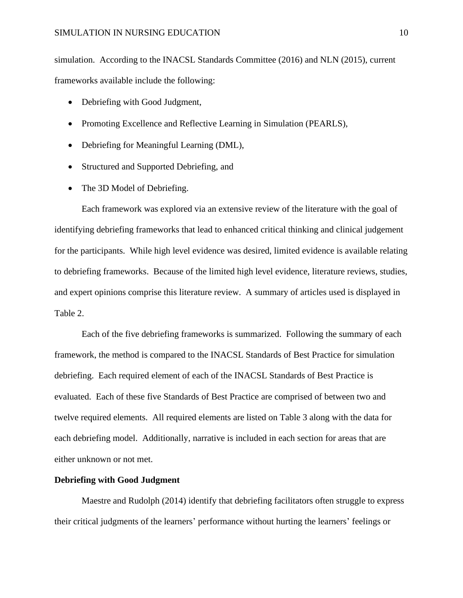simulation. According to the INACSL Standards Committee (2016) and NLN (2015), current frameworks available include the following:

- Debriefing with Good Judgment,
- Promoting Excellence and Reflective Learning in Simulation (PEARLS),
- Debriefing for Meaningful Learning (DML),
- Structured and Supported Debriefing, and
- The 3D Model of Debriefing.

Each framework was explored via an extensive review of the literature with the goal of identifying debriefing frameworks that lead to enhanced critical thinking and clinical judgement for the participants. While high level evidence was desired, limited evidence is available relating to debriefing frameworks. Because of the limited high level evidence, literature reviews, studies, and expert opinions comprise this literature review. A summary of articles used is displayed in Table 2.

Each of the five debriefing frameworks is summarized. Following the summary of each framework, the method is compared to the INACSL Standards of Best Practice for simulation debriefing. Each required element of each of the INACSL Standards of Best Practice is evaluated. Each of these five Standards of Best Practice are comprised of between two and twelve required elements. All required elements are listed on Table 3 along with the data for each debriefing model. Additionally, narrative is included in each section for areas that are either unknown or not met.

#### **Debriefing with Good Judgment**

Maestre and Rudolph (2014) identify that debriefing facilitators often struggle to express their critical judgments of the learners' performance without hurting the learners' feelings or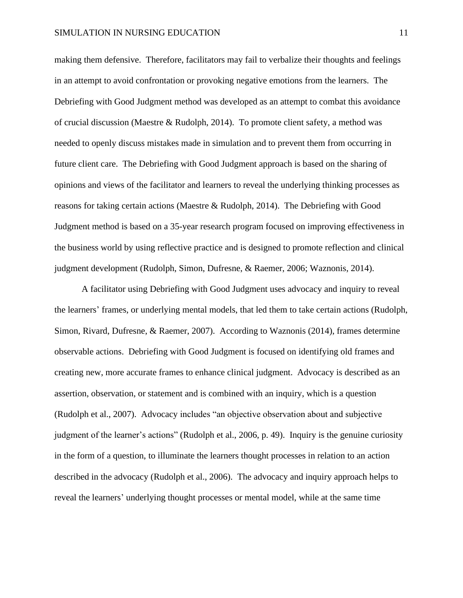making them defensive. Therefore, facilitators may fail to verbalize their thoughts and feelings in an attempt to avoid confrontation or provoking negative emotions from the learners. The Debriefing with Good Judgment method was developed as an attempt to combat this avoidance of crucial discussion (Maestre & Rudolph, 2014). To promote client safety, a method was needed to openly discuss mistakes made in simulation and to prevent them from occurring in future client care. The Debriefing with Good Judgment approach is based on the sharing of opinions and views of the facilitator and learners to reveal the underlying thinking processes as reasons for taking certain actions (Maestre & Rudolph, 2014). The Debriefing with Good Judgment method is based on a 35-year research program focused on improving effectiveness in the business world by using reflective practice and is designed to promote reflection and clinical judgment development (Rudolph, Simon, Dufresne, & Raemer, 2006; Waznonis, 2014).

A facilitator using Debriefing with Good Judgment uses advocacy and inquiry to reveal the learners' frames, or underlying mental models, that led them to take certain actions (Rudolph, Simon, Rivard, Dufresne, & Raemer, 2007). According to Waznonis (2014), frames determine observable actions. Debriefing with Good Judgment is focused on identifying old frames and creating new, more accurate frames to enhance clinical judgment. Advocacy is described as an assertion, observation, or statement and is combined with an inquiry, which is a question (Rudolph et al., 2007). Advocacy includes "an objective observation about and subjective judgment of the learner's actions" (Rudolph et al., 2006, p. 49). Inquiry is the genuine curiosity in the form of a question, to illuminate the learners thought processes in relation to an action described in the advocacy (Rudolph et al., 2006). The advocacy and inquiry approach helps to reveal the learners' underlying thought processes or mental model, while at the same time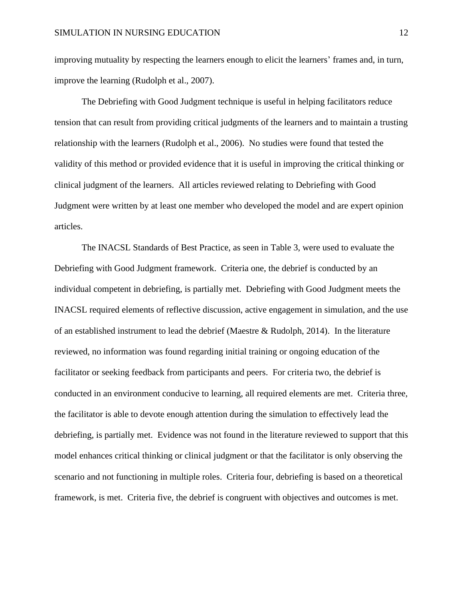improving mutuality by respecting the learners enough to elicit the learners' frames and, in turn, improve the learning (Rudolph et al., 2007).

The Debriefing with Good Judgment technique is useful in helping facilitators reduce tension that can result from providing critical judgments of the learners and to maintain a trusting relationship with the learners (Rudolph et al., 2006). No studies were found that tested the validity of this method or provided evidence that it is useful in improving the critical thinking or clinical judgment of the learners. All articles reviewed relating to Debriefing with Good Judgment were written by at least one member who developed the model and are expert opinion articles.

The INACSL Standards of Best Practice, as seen in Table 3, were used to evaluate the Debriefing with Good Judgment framework. Criteria one, the debrief is conducted by an individual competent in debriefing, is partially met. Debriefing with Good Judgment meets the INACSL required elements of reflective discussion, active engagement in simulation, and the use of an established instrument to lead the debrief (Maestre & Rudolph, 2014). In the literature reviewed, no information was found regarding initial training or ongoing education of the facilitator or seeking feedback from participants and peers. For criteria two, the debrief is conducted in an environment conducive to learning, all required elements are met. Criteria three, the facilitator is able to devote enough attention during the simulation to effectively lead the debriefing, is partially met. Evidence was not found in the literature reviewed to support that this model enhances critical thinking or clinical judgment or that the facilitator is only observing the scenario and not functioning in multiple roles. Criteria four, debriefing is based on a theoretical framework, is met. Criteria five, the debrief is congruent with objectives and outcomes is met.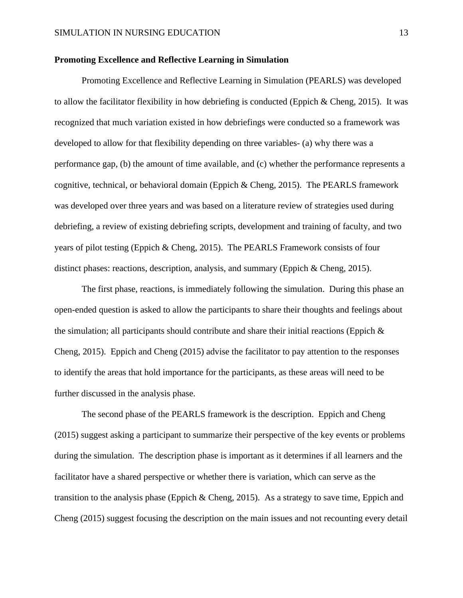#### **Promoting Excellence and Reflective Learning in Simulation**

Promoting Excellence and Reflective Learning in Simulation (PEARLS) was developed to allow the facilitator flexibility in how debriefing is conducted (Eppich & Cheng, 2015). It was recognized that much variation existed in how debriefings were conducted so a framework was developed to allow for that flexibility depending on three variables- (a) why there was a performance gap, (b) the amount of time available, and (c) whether the performance represents a cognitive, technical, or behavioral domain (Eppich & Cheng, 2015). The PEARLS framework was developed over three years and was based on a literature review of strategies used during debriefing, a review of existing debriefing scripts, development and training of faculty, and two years of pilot testing (Eppich & Cheng, 2015). The PEARLS Framework consists of four distinct phases: reactions, description, analysis, and summary (Eppich & Cheng, 2015).

The first phase, reactions, is immediately following the simulation. During this phase an open-ended question is asked to allow the participants to share their thoughts and feelings about the simulation; all participants should contribute and share their initial reactions (Eppich  $\&$ Cheng, 2015). Eppich and Cheng (2015) advise the facilitator to pay attention to the responses to identify the areas that hold importance for the participants, as these areas will need to be further discussed in the analysis phase.

The second phase of the PEARLS framework is the description. Eppich and Cheng (2015) suggest asking a participant to summarize their perspective of the key events or problems during the simulation. The description phase is important as it determines if all learners and the facilitator have a shared perspective or whether there is variation, which can serve as the transition to the analysis phase (Eppich & Cheng, 2015). As a strategy to save time, Eppich and Cheng (2015) suggest focusing the description on the main issues and not recounting every detail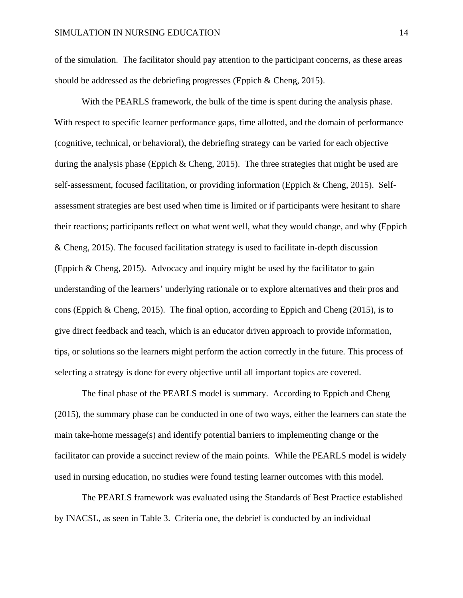of the simulation. The facilitator should pay attention to the participant concerns, as these areas should be addressed as the debriefing progresses (Eppich & Cheng, 2015).

With the PEARLS framework, the bulk of the time is spent during the analysis phase. With respect to specific learner performance gaps, time allotted, and the domain of performance (cognitive, technical, or behavioral), the debriefing strategy can be varied for each objective during the analysis phase (Eppich & Cheng, 2015). The three strategies that might be used are self-assessment, focused facilitation, or providing information (Eppich & Cheng, 2015). Selfassessment strategies are best used when time is limited or if participants were hesitant to share their reactions; participants reflect on what went well, what they would change, and why (Eppich & Cheng, 2015). The focused facilitation strategy is used to facilitate in-depth discussion (Eppich & Cheng, 2015). Advocacy and inquiry might be used by the facilitator to gain understanding of the learners' underlying rationale or to explore alternatives and their pros and cons (Eppich & Cheng, 2015). The final option, according to Eppich and Cheng (2015), is to give direct feedback and teach, which is an educator driven approach to provide information, tips, or solutions so the learners might perform the action correctly in the future. This process of selecting a strategy is done for every objective until all important topics are covered.

The final phase of the PEARLS model is summary. According to Eppich and Cheng (2015), the summary phase can be conducted in one of two ways, either the learners can state the main take-home message(s) and identify potential barriers to implementing change or the facilitator can provide a succinct review of the main points. While the PEARLS model is widely used in nursing education, no studies were found testing learner outcomes with this model.

The PEARLS framework was evaluated using the Standards of Best Practice established by INACSL, as seen in Table 3. Criteria one, the debrief is conducted by an individual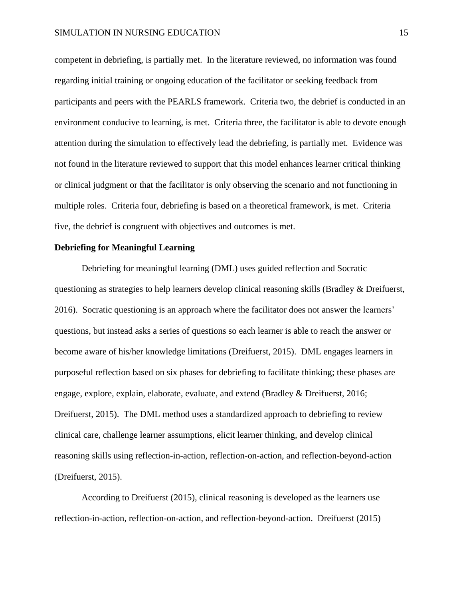competent in debriefing, is partially met. In the literature reviewed, no information was found regarding initial training or ongoing education of the facilitator or seeking feedback from participants and peers with the PEARLS framework. Criteria two, the debrief is conducted in an environment conducive to learning, is met. Criteria three, the facilitator is able to devote enough attention during the simulation to effectively lead the debriefing, is partially met. Evidence was not found in the literature reviewed to support that this model enhances learner critical thinking or clinical judgment or that the facilitator is only observing the scenario and not functioning in multiple roles. Criteria four, debriefing is based on a theoretical framework, is met. Criteria five, the debrief is congruent with objectives and outcomes is met.

#### **Debriefing for Meaningful Learning**

Debriefing for meaningful learning (DML) uses guided reflection and Socratic questioning as strategies to help learners develop clinical reasoning skills (Bradley & Dreifuerst, 2016). Socratic questioning is an approach where the facilitator does not answer the learners' questions, but instead asks a series of questions so each learner is able to reach the answer or become aware of his/her knowledge limitations (Dreifuerst, 2015). DML engages learners in purposeful reflection based on six phases for debriefing to facilitate thinking; these phases are engage, explore, explain, elaborate, evaluate, and extend (Bradley & Dreifuerst, 2016; Dreifuerst, 2015). The DML method uses a standardized approach to debriefing to review clinical care, challenge learner assumptions, elicit learner thinking, and develop clinical reasoning skills using reflection-in-action, reflection-on-action, and reflection-beyond-action (Dreifuerst, 2015).

According to Dreifuerst (2015), clinical reasoning is developed as the learners use reflection-in-action, reflection-on-action, and reflection-beyond-action. Dreifuerst (2015)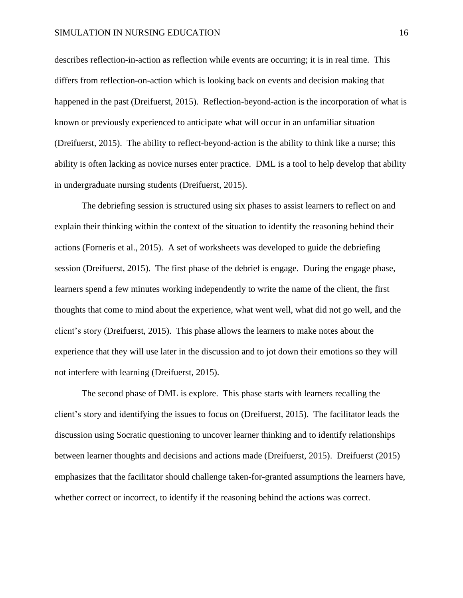describes reflection-in-action as reflection while events are occurring; it is in real time. This differs from reflection-on-action which is looking back on events and decision making that happened in the past (Dreifuerst, 2015). Reflection-beyond-action is the incorporation of what is known or previously experienced to anticipate what will occur in an unfamiliar situation (Dreifuerst, 2015). The ability to reflect-beyond-action is the ability to think like a nurse; this ability is often lacking as novice nurses enter practice. DML is a tool to help develop that ability in undergraduate nursing students (Dreifuerst, 2015).

The debriefing session is structured using six phases to assist learners to reflect on and explain their thinking within the context of the situation to identify the reasoning behind their actions (Forneris et al., 2015). A set of worksheets was developed to guide the debriefing session (Dreifuerst, 2015). The first phase of the debrief is engage. During the engage phase, learners spend a few minutes working independently to write the name of the client, the first thoughts that come to mind about the experience, what went well, what did not go well, and the client's story (Dreifuerst, 2015). This phase allows the learners to make notes about the experience that they will use later in the discussion and to jot down their emotions so they will not interfere with learning (Dreifuerst, 2015).

The second phase of DML is explore. This phase starts with learners recalling the client's story and identifying the issues to focus on (Dreifuerst, 2015). The facilitator leads the discussion using Socratic questioning to uncover learner thinking and to identify relationships between learner thoughts and decisions and actions made (Dreifuerst, 2015). Dreifuerst (2015) emphasizes that the facilitator should challenge taken-for-granted assumptions the learners have, whether correct or incorrect, to identify if the reasoning behind the actions was correct.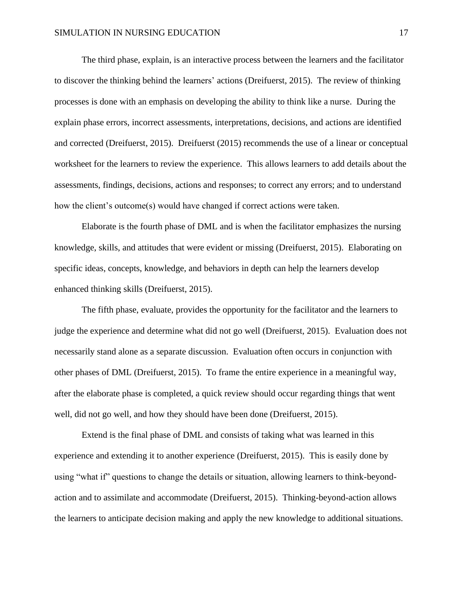The third phase, explain, is an interactive process between the learners and the facilitator to discover the thinking behind the learners' actions (Dreifuerst, 2015). The review of thinking processes is done with an emphasis on developing the ability to think like a nurse. During the explain phase errors, incorrect assessments, interpretations, decisions, and actions are identified and corrected (Dreifuerst, 2015). Dreifuerst (2015) recommends the use of a linear or conceptual worksheet for the learners to review the experience. This allows learners to add details about the assessments, findings, decisions, actions and responses; to correct any errors; and to understand how the client's outcome(s) would have changed if correct actions were taken.

Elaborate is the fourth phase of DML and is when the facilitator emphasizes the nursing knowledge, skills, and attitudes that were evident or missing (Dreifuerst, 2015). Elaborating on specific ideas, concepts, knowledge, and behaviors in depth can help the learners develop enhanced thinking skills (Dreifuerst, 2015).

The fifth phase, evaluate, provides the opportunity for the facilitator and the learners to judge the experience and determine what did not go well (Dreifuerst, 2015). Evaluation does not necessarily stand alone as a separate discussion. Evaluation often occurs in conjunction with other phases of DML (Dreifuerst, 2015). To frame the entire experience in a meaningful way, after the elaborate phase is completed, a quick review should occur regarding things that went well, did not go well, and how they should have been done (Dreifuerst, 2015).

Extend is the final phase of DML and consists of taking what was learned in this experience and extending it to another experience (Dreifuerst, 2015). This is easily done by using "what if" questions to change the details or situation, allowing learners to think-beyondaction and to assimilate and accommodate (Dreifuerst, 2015). Thinking-beyond-action allows the learners to anticipate decision making and apply the new knowledge to additional situations.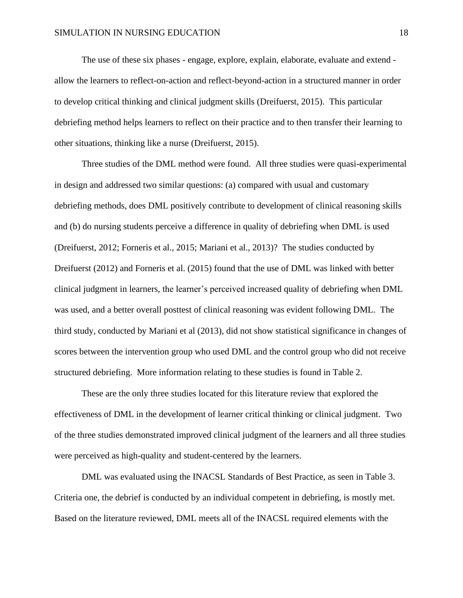The use of these six phases - engage, explore, explain, elaborate, evaluate and extend allow the learners to reflect-on-action and reflect-beyond-action in a structured manner in order to develop critical thinking and clinical judgment skills (Dreifuerst, 2015). This particular debriefing method helps learners to reflect on their practice and to then transfer their learning to other situations, thinking like a nurse (Dreifuerst, 2015).

Three studies of the DML method were found. All three studies were quasi-experimental in design and addressed two similar questions: (a) compared with usual and customary debriefing methods, does DML positively contribute to development of clinical reasoning skills and (b) do nursing students perceive a difference in quality of debriefing when DML is used (Dreifuerst, 2012; Forneris et al., 2015; Mariani et al., 2013)? The studies conducted by Dreifuerst (2012) and Forneris et al. (2015) found that the use of DML was linked with better clinical judgment in learners, the learner's perceived increased quality of debriefing when DML was used, and a better overall posttest of clinical reasoning was evident following DML. The third study, conducted by Mariani et al (2013), did not show statistical significance in changes of scores between the intervention group who used DML and the control group who did not receive structured debriefing. More information relating to these studies is found in Table 2.

These are the only three studies located for this literature review that explored the effectiveness of DML in the development of learner critical thinking or clinical judgment. Two of the three studies demonstrated improved clinical judgment of the learners and all three studies were perceived as high-quality and student-centered by the learners.

DML was evaluated using the INACSL Standards of Best Practice, as seen in Table 3. Criteria one, the debrief is conducted by an individual competent in debriefing, is mostly met. Based on the literature reviewed, DML meets all of the INACSL required elements with the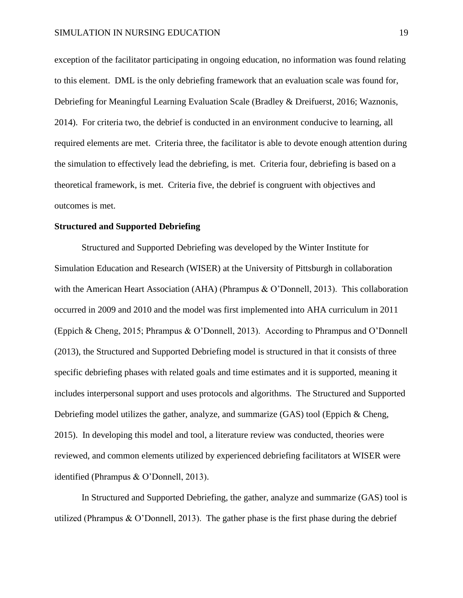exception of the facilitator participating in ongoing education, no information was found relating to this element. DML is the only debriefing framework that an evaluation scale was found for, Debriefing for Meaningful Learning Evaluation Scale (Bradley & Dreifuerst, 2016; Waznonis, 2014). For criteria two, the debrief is conducted in an environment conducive to learning, all required elements are met. Criteria three, the facilitator is able to devote enough attention during the simulation to effectively lead the debriefing, is met. Criteria four, debriefing is based on a theoretical framework, is met. Criteria five, the debrief is congruent with objectives and outcomes is met.

#### **Structured and Supported Debriefing**

Structured and Supported Debriefing was developed by the Winter Institute for Simulation Education and Research (WISER) at the University of Pittsburgh in collaboration with the American Heart Association (AHA) (Phrampus & O'Donnell, 2013). This collaboration occurred in 2009 and 2010 and the model was first implemented into AHA curriculum in 2011 (Eppich & Cheng, 2015; Phrampus & O'Donnell, 2013). According to Phrampus and O'Donnell (2013), the Structured and Supported Debriefing model is structured in that it consists of three specific debriefing phases with related goals and time estimates and it is supported, meaning it includes interpersonal support and uses protocols and algorithms. The Structured and Supported Debriefing model utilizes the gather, analyze, and summarize (GAS) tool (Eppich & Cheng, 2015). In developing this model and tool, a literature review was conducted, theories were reviewed, and common elements utilized by experienced debriefing facilitators at WISER were identified (Phrampus & O'Donnell, 2013).

In Structured and Supported Debriefing, the gather, analyze and summarize (GAS) tool is utilized (Phrampus & O'Donnell, 2013). The gather phase is the first phase during the debrief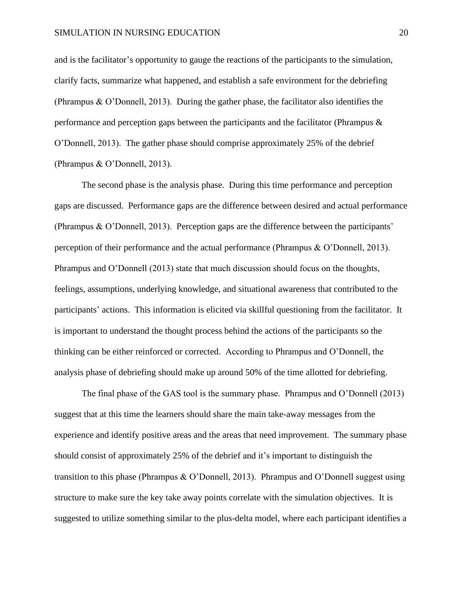and is the facilitator's opportunity to gauge the reactions of the participants to the simulation, clarify facts, summarize what happened, and establish a safe environment for the debriefing (Phrampus & O'Donnell, 2013). During the gather phase, the facilitator also identifies the performance and perception gaps between the participants and the facilitator (Phrampus & O'Donnell, 2013). The gather phase should comprise approximately 25% of the debrief (Phrampus & O'Donnell, 2013).

The second phase is the analysis phase. During this time performance and perception gaps are discussed. Performance gaps are the difference between desired and actual performance (Phrampus & O'Donnell, 2013). Perception gaps are the difference between the participants' perception of their performance and the actual performance (Phrampus & O'Donnell, 2013). Phrampus and O'Donnell (2013) state that much discussion should focus on the thoughts, feelings, assumptions, underlying knowledge, and situational awareness that contributed to the participants' actions. This information is elicited via skillful questioning from the facilitator. It is important to understand the thought process behind the actions of the participants so the thinking can be either reinforced or corrected. According to Phrampus and O'Donnell, the analysis phase of debriefing should make up around 50% of the time allotted for debriefing.

The final phase of the GAS tool is the summary phase. Phrampus and O'Donnell (2013) suggest that at this time the learners should share the main take-away messages from the experience and identify positive areas and the areas that need improvement. The summary phase should consist of approximately 25% of the debrief and it's important to distinguish the transition to this phase (Phrampus & O'Donnell, 2013). Phrampus and O'Donnell suggest using structure to make sure the key take away points correlate with the simulation objectives. It is suggested to utilize something similar to the plus-delta model, where each participant identifies a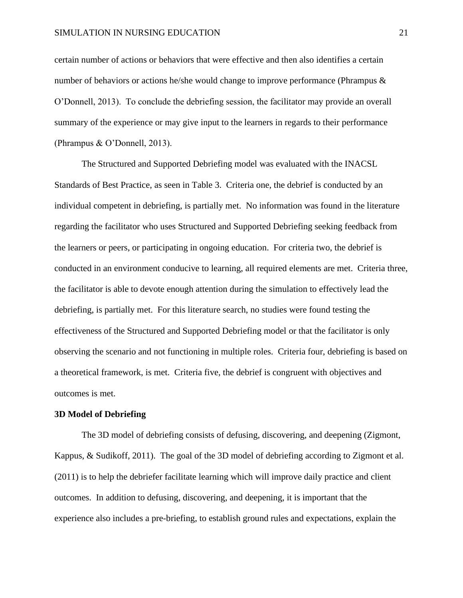certain number of actions or behaviors that were effective and then also identifies a certain number of behaviors or actions he/she would change to improve performance (Phrampus & O'Donnell, 2013). To conclude the debriefing session, the facilitator may provide an overall summary of the experience or may give input to the learners in regards to their performance (Phrampus & O'Donnell, 2013).

The Structured and Supported Debriefing model was evaluated with the INACSL Standards of Best Practice, as seen in Table 3. Criteria one, the debrief is conducted by an individual competent in debriefing, is partially met. No information was found in the literature regarding the facilitator who uses Structured and Supported Debriefing seeking feedback from the learners or peers, or participating in ongoing education. For criteria two, the debrief is conducted in an environment conducive to learning, all required elements are met. Criteria three, the facilitator is able to devote enough attention during the simulation to effectively lead the debriefing, is partially met. For this literature search, no studies were found testing the effectiveness of the Structured and Supported Debriefing model or that the facilitator is only observing the scenario and not functioning in multiple roles. Criteria four, debriefing is based on a theoretical framework, is met. Criteria five, the debrief is congruent with objectives and outcomes is met.

#### **3D Model of Debriefing**

The 3D model of debriefing consists of defusing, discovering, and deepening (Zigmont, Kappus, & Sudikoff, 2011). The goal of the 3D model of debriefing according to Zigmont et al. (2011) is to help the debriefer facilitate learning which will improve daily practice and client outcomes. In addition to defusing, discovering, and deepening, it is important that the experience also includes a pre-briefing, to establish ground rules and expectations, explain the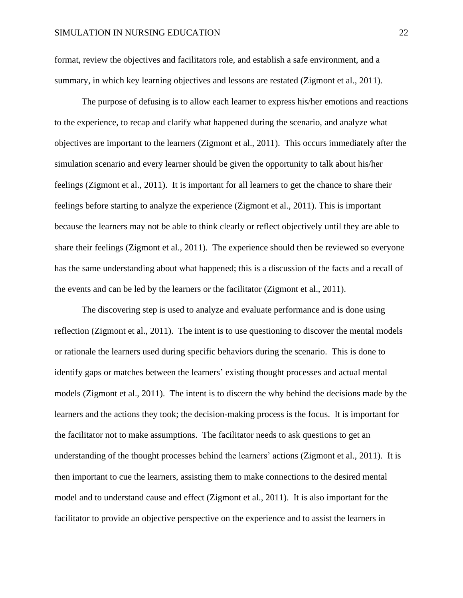format, review the objectives and facilitators role, and establish a safe environment, and a summary, in which key learning objectives and lessons are restated (Zigmont et al., 2011).

The purpose of defusing is to allow each learner to express his/her emotions and reactions to the experience, to recap and clarify what happened during the scenario, and analyze what objectives are important to the learners (Zigmont et al., 2011). This occurs immediately after the simulation scenario and every learner should be given the opportunity to talk about his/her feelings (Zigmont et al., 2011). It is important for all learners to get the chance to share their feelings before starting to analyze the experience (Zigmont et al., 2011). This is important because the learners may not be able to think clearly or reflect objectively until they are able to share their feelings (Zigmont et al., 2011). The experience should then be reviewed so everyone has the same understanding about what happened; this is a discussion of the facts and a recall of the events and can be led by the learners or the facilitator (Zigmont et al., 2011).

The discovering step is used to analyze and evaluate performance and is done using reflection (Zigmont et al., 2011). The intent is to use questioning to discover the mental models or rationale the learners used during specific behaviors during the scenario. This is done to identify gaps or matches between the learners' existing thought processes and actual mental models (Zigmont et al., 2011). The intent is to discern the why behind the decisions made by the learners and the actions they took; the decision-making process is the focus. It is important for the facilitator not to make assumptions. The facilitator needs to ask questions to get an understanding of the thought processes behind the learners' actions (Zigmont et al., 2011). It is then important to cue the learners, assisting them to make connections to the desired mental model and to understand cause and effect (Zigmont et al., 2011). It is also important for the facilitator to provide an objective perspective on the experience and to assist the learners in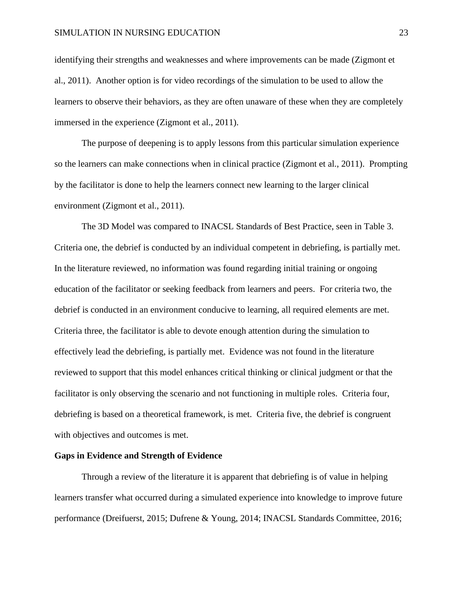identifying their strengths and weaknesses and where improvements can be made (Zigmont et al., 2011). Another option is for video recordings of the simulation to be used to allow the learners to observe their behaviors, as they are often unaware of these when they are completely immersed in the experience (Zigmont et al., 2011).

The purpose of deepening is to apply lessons from this particular simulation experience so the learners can make connections when in clinical practice (Zigmont et al., 2011). Prompting by the facilitator is done to help the learners connect new learning to the larger clinical environment (Zigmont et al., 2011).

The 3D Model was compared to INACSL Standards of Best Practice, seen in Table 3. Criteria one, the debrief is conducted by an individual competent in debriefing, is partially met. In the literature reviewed, no information was found regarding initial training or ongoing education of the facilitator or seeking feedback from learners and peers. For criteria two, the debrief is conducted in an environment conducive to learning, all required elements are met. Criteria three, the facilitator is able to devote enough attention during the simulation to effectively lead the debriefing, is partially met. Evidence was not found in the literature reviewed to support that this model enhances critical thinking or clinical judgment or that the facilitator is only observing the scenario and not functioning in multiple roles. Criteria four, debriefing is based on a theoretical framework, is met. Criteria five, the debrief is congruent with objectives and outcomes is met.

#### **Gaps in Evidence and Strength of Evidence**

Through a review of the literature it is apparent that debriefing is of value in helping learners transfer what occurred during a simulated experience into knowledge to improve future performance (Dreifuerst, 2015; Dufrene & Young, 2014; INACSL Standards Committee, 2016;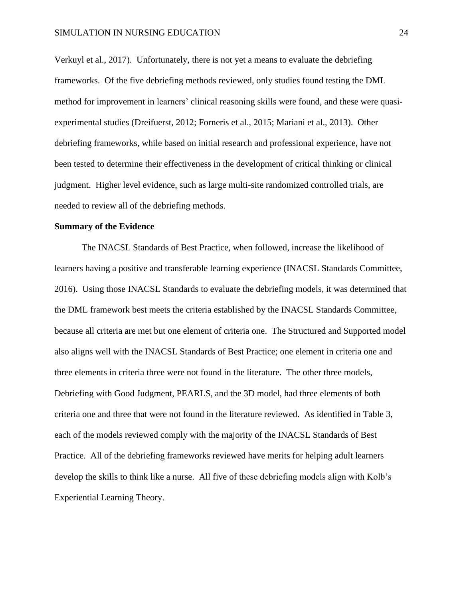Verkuyl et al., 2017). Unfortunately, there is not yet a means to evaluate the debriefing frameworks. Of the five debriefing methods reviewed, only studies found testing the DML method for improvement in learners' clinical reasoning skills were found, and these were quasiexperimental studies (Dreifuerst, 2012; Forneris et al., 2015; Mariani et al., 2013). Other debriefing frameworks, while based on initial research and professional experience, have not been tested to determine their effectiveness in the development of critical thinking or clinical judgment. Higher level evidence, such as large multi-site randomized controlled trials, are needed to review all of the debriefing methods.

#### **Summary of the Evidence**

The INACSL Standards of Best Practice, when followed, increase the likelihood of learners having a positive and transferable learning experience (INACSL Standards Committee, 2016). Using those INACSL Standards to evaluate the debriefing models, it was determined that the DML framework best meets the criteria established by the INACSL Standards Committee, because all criteria are met but one element of criteria one. The Structured and Supported model also aligns well with the INACSL Standards of Best Practice; one element in criteria one and three elements in criteria three were not found in the literature. The other three models, Debriefing with Good Judgment, PEARLS, and the 3D model, had three elements of both criteria one and three that were not found in the literature reviewed. As identified in Table 3, each of the models reviewed comply with the majority of the INACSL Standards of Best Practice. All of the debriefing frameworks reviewed have merits for helping adult learners develop the skills to think like a nurse. All five of these debriefing models align with Kolb's Experiential Learning Theory.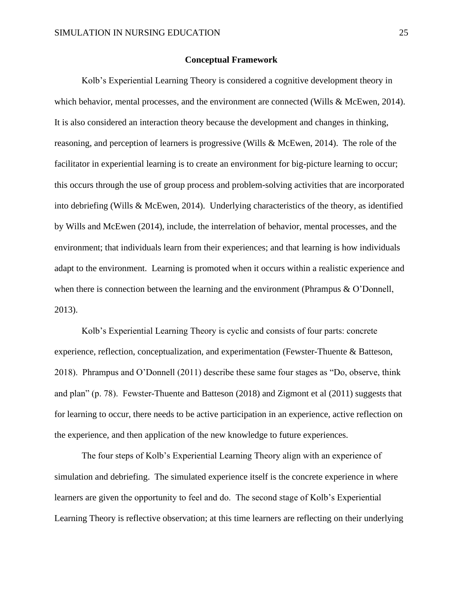#### **Conceptual Framework**

Kolb's Experiential Learning Theory is considered a cognitive development theory in which behavior, mental processes, and the environment are connected (Wills & McEwen, 2014). It is also considered an interaction theory because the development and changes in thinking, reasoning, and perception of learners is progressive (Wills & McEwen, 2014). The role of the facilitator in experiential learning is to create an environment for big-picture learning to occur; this occurs through the use of group process and problem-solving activities that are incorporated into debriefing (Wills & McEwen, 2014). Underlying characteristics of the theory, as identified by Wills and McEwen (2014), include, the interrelation of behavior, mental processes, and the environment; that individuals learn from their experiences; and that learning is how individuals adapt to the environment. Learning is promoted when it occurs within a realistic experience and when there is connection between the learning and the environment (Phrampus  $\& O'$ Donnell, 2013).

Kolb's Experiential Learning Theory is cyclic and consists of four parts: concrete experience, reflection, conceptualization, and experimentation (Fewster-Thuente & Batteson, 2018). Phrampus and O'Donnell (2011) describe these same four stages as "Do, observe, think and plan" (p. 78). Fewster-Thuente and Batteson (2018) and Zigmont et al (2011) suggests that for learning to occur, there needs to be active participation in an experience, active reflection on the experience, and then application of the new knowledge to future experiences.

The four steps of Kolb's Experiential Learning Theory align with an experience of simulation and debriefing. The simulated experience itself is the concrete experience in where learners are given the opportunity to feel and do. The second stage of Kolb's Experiential Learning Theory is reflective observation; at this time learners are reflecting on their underlying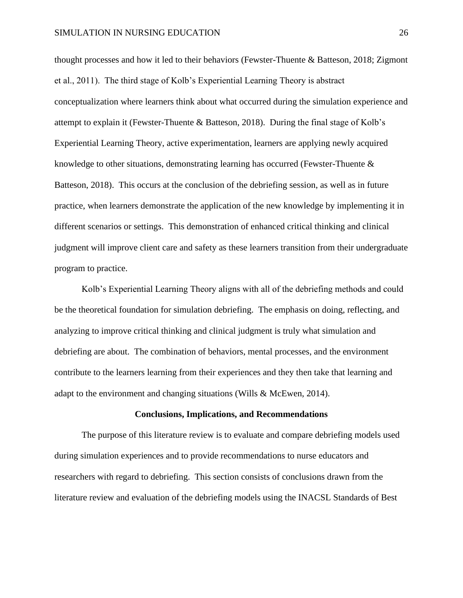thought processes and how it led to their behaviors (Fewster-Thuente & Batteson, 2018; Zigmont et al., 2011). The third stage of Kolb's Experiential Learning Theory is abstract conceptualization where learners think about what occurred during the simulation experience and attempt to explain it (Fewster-Thuente & Batteson, 2018). During the final stage of Kolb's Experiential Learning Theory, active experimentation, learners are applying newly acquired knowledge to other situations, demonstrating learning has occurred (Fewster-Thuente  $\&$ Batteson, 2018). This occurs at the conclusion of the debriefing session, as well as in future practice, when learners demonstrate the application of the new knowledge by implementing it in different scenarios or settings. This demonstration of enhanced critical thinking and clinical judgment will improve client care and safety as these learners transition from their undergraduate program to practice.

Kolb's Experiential Learning Theory aligns with all of the debriefing methods and could be the theoretical foundation for simulation debriefing. The emphasis on doing, reflecting, and analyzing to improve critical thinking and clinical judgment is truly what simulation and debriefing are about. The combination of behaviors, mental processes, and the environment contribute to the learners learning from their experiences and they then take that learning and adapt to the environment and changing situations (Wills & McEwen, 2014).

#### **Conclusions, Implications, and Recommendations**

The purpose of this literature review is to evaluate and compare debriefing models used during simulation experiences and to provide recommendations to nurse educators and researchers with regard to debriefing. This section consists of conclusions drawn from the literature review and evaluation of the debriefing models using the INACSL Standards of Best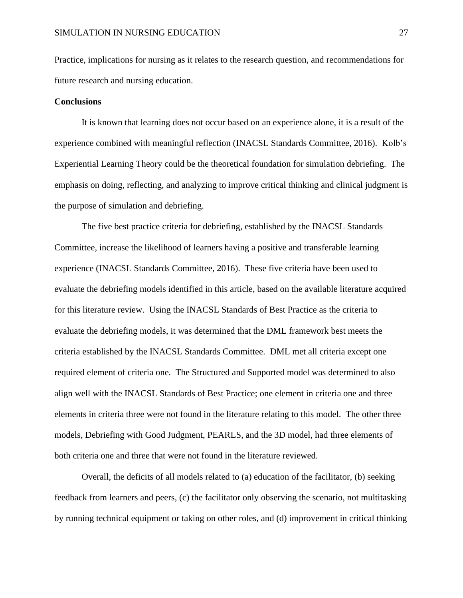Practice, implications for nursing as it relates to the research question, and recommendations for future research and nursing education.

#### **Conclusions**

It is known that learning does not occur based on an experience alone, it is a result of the experience combined with meaningful reflection (INACSL Standards Committee, 2016). Kolb's Experiential Learning Theory could be the theoretical foundation for simulation debriefing. The emphasis on doing, reflecting, and analyzing to improve critical thinking and clinical judgment is the purpose of simulation and debriefing.

The five best practice criteria for debriefing, established by the INACSL Standards Committee, increase the likelihood of learners having a positive and transferable learning experience (INACSL Standards Committee, 2016). These five criteria have been used to evaluate the debriefing models identified in this article, based on the available literature acquired for this literature review. Using the INACSL Standards of Best Practice as the criteria to evaluate the debriefing models, it was determined that the DML framework best meets the criteria established by the INACSL Standards Committee. DML met all criteria except one required element of criteria one. The Structured and Supported model was determined to also align well with the INACSL Standards of Best Practice; one element in criteria one and three elements in criteria three were not found in the literature relating to this model. The other three models, Debriefing with Good Judgment, PEARLS, and the 3D model, had three elements of both criteria one and three that were not found in the literature reviewed.

Overall, the deficits of all models related to (a) education of the facilitator, (b) seeking feedback from learners and peers, (c) the facilitator only observing the scenario, not multitasking by running technical equipment or taking on other roles, and (d) improvement in critical thinking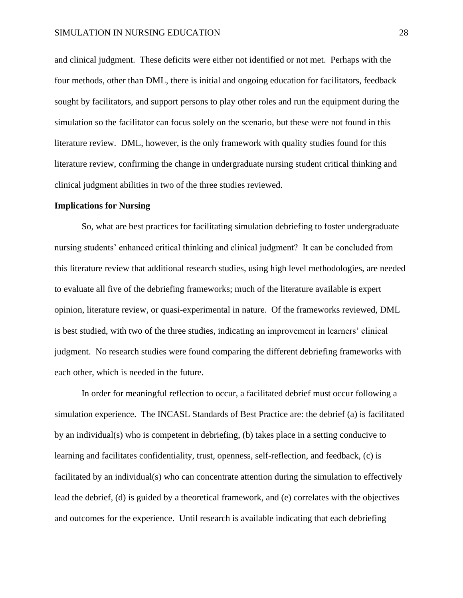and clinical judgment. These deficits were either not identified or not met. Perhaps with the four methods, other than DML, there is initial and ongoing education for facilitators, feedback sought by facilitators, and support persons to play other roles and run the equipment during the simulation so the facilitator can focus solely on the scenario, but these were not found in this literature review. DML, however, is the only framework with quality studies found for this literature review, confirming the change in undergraduate nursing student critical thinking and clinical judgment abilities in two of the three studies reviewed.

#### **Implications for Nursing**

So, what are best practices for facilitating simulation debriefing to foster undergraduate nursing students' enhanced critical thinking and clinical judgment? It can be concluded from this literature review that additional research studies, using high level methodologies, are needed to evaluate all five of the debriefing frameworks; much of the literature available is expert opinion, literature review, or quasi-experimental in nature. Of the frameworks reviewed, DML is best studied, with two of the three studies, indicating an improvement in learners' clinical judgment. No research studies were found comparing the different debriefing frameworks with each other, which is needed in the future.

In order for meaningful reflection to occur, a facilitated debrief must occur following a simulation experience. The INCASL Standards of Best Practice are: the debrief (a) is facilitated by an individual(s) who is competent in debriefing, (b) takes place in a setting conducive to learning and facilitates confidentiality, trust, openness, self-reflection, and feedback, (c) is facilitated by an individual(s) who can concentrate attention during the simulation to effectively lead the debrief, (d) is guided by a theoretical framework, and (e) correlates with the objectives and outcomes for the experience. Until research is available indicating that each debriefing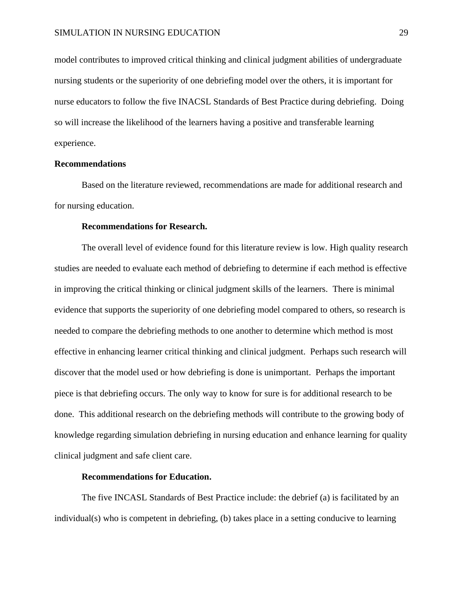model contributes to improved critical thinking and clinical judgment abilities of undergraduate nursing students or the superiority of one debriefing model over the others, it is important for nurse educators to follow the five INACSL Standards of Best Practice during debriefing. Doing so will increase the likelihood of the learners having a positive and transferable learning experience.

#### **Recommendations**

Based on the literature reviewed, recommendations are made for additional research and for nursing education.

#### **Recommendations for Research.**

The overall level of evidence found for this literature review is low. High quality research studies are needed to evaluate each method of debriefing to determine if each method is effective in improving the critical thinking or clinical judgment skills of the learners. There is minimal evidence that supports the superiority of one debriefing model compared to others, so research is needed to compare the debriefing methods to one another to determine which method is most effective in enhancing learner critical thinking and clinical judgment. Perhaps such research will discover that the model used or how debriefing is done is unimportant. Perhaps the important piece is that debriefing occurs. The only way to know for sure is for additional research to be done. This additional research on the debriefing methods will contribute to the growing body of knowledge regarding simulation debriefing in nursing education and enhance learning for quality clinical judgment and safe client care.

#### **Recommendations for Education.**

The five INCASL Standards of Best Practice include: the debrief (a) is facilitated by an individual(s) who is competent in debriefing, (b) takes place in a setting conducive to learning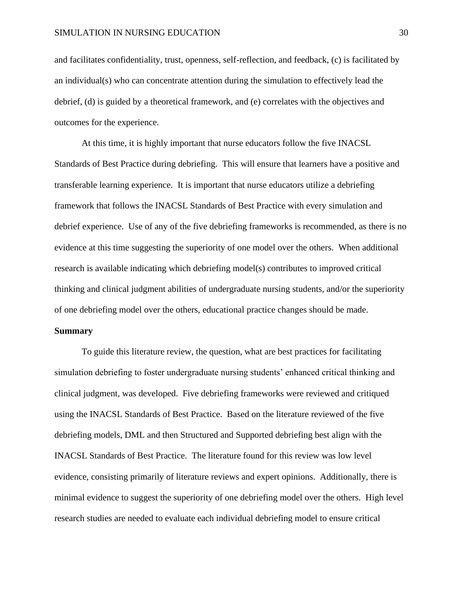and facilitates confidentiality, trust, openness, self-reflection, and feedback, (c) is facilitated by an individual(s) who can concentrate attention during the simulation to effectively lead the debrief, (d) is guided by a theoretical framework, and (e) correlates with the objectives and outcomes for the experience.

At this time, it is highly important that nurse educators follow the five INACSL Standards of Best Practice during debriefing. This will ensure that learners have a positive and transferable learning experience. It is important that nurse educators utilize a debriefing framework that follows the INACSL Standards of Best Practice with every simulation and debrief experience. Use of any of the five debriefing frameworks is recommended, as there is no evidence at this time suggesting the superiority of one model over the others. When additional research is available indicating which debriefing model(s) contributes to improved critical thinking and clinical judgment abilities of undergraduate nursing students, and/or the superiority of one debriefing model over the others, educational practice changes should be made.

#### **Summary**

To guide this literature review, the question, what are best practices for facilitating simulation debriefing to foster undergraduate nursing students' enhanced critical thinking and clinical judgment, was developed. Five debriefing frameworks were reviewed and critiqued using the INACSL Standards of Best Practice. Based on the literature reviewed of the five debriefing models, DML and then Structured and Supported debriefing best align with the INACSL Standards of Best Practice. The literature found for this review was low level evidence, consisting primarily of literature reviews and expert opinions. Additionally, there is minimal evidence to suggest the superiority of one debriefing model over the others. High level research studies are needed to evaluate each individual debriefing model to ensure critical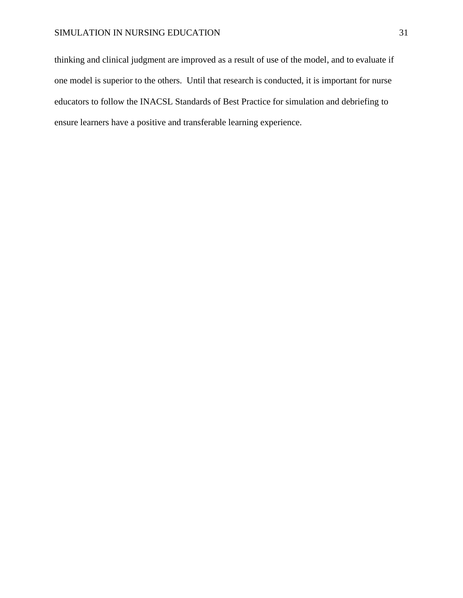thinking and clinical judgment are improved as a result of use of the model, and to evaluate if one model is superior to the others. Until that research is conducted, it is important for nurse educators to follow the INACSL Standards of Best Practice for simulation and debriefing to ensure learners have a positive and transferable learning experience.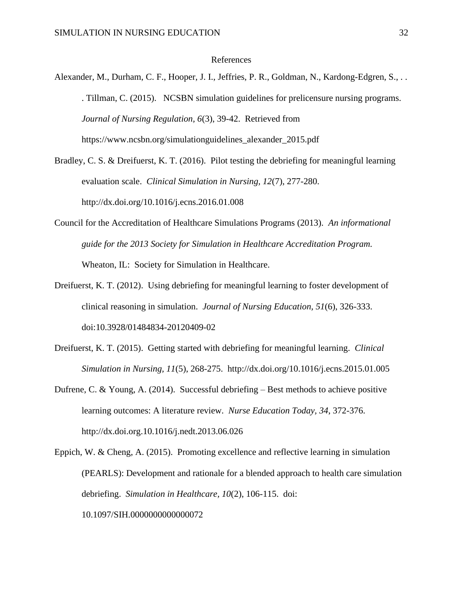#### References

Alexander, M., Durham, C. F., Hooper, J. I., Jeffries, P. R., Goldman, N., Kardong-Edgren, S., . . . Tillman, C. (2015). NCSBN simulation guidelines for prelicensure nursing programs. *Journal of Nursing Regulation, 6*(3), 39-42. Retrieved from https://www.ncsbn.org/simulationguidelines\_alexander\_2015.pdf

Bradley, C. S. & Dreifuerst, K. T. (2016). Pilot testing the debriefing for meaningful learning evaluation scale. *Clinical Simulation in Nursing, 12*(7), 277-280. http://dx.doi.org/10.1016/j.ecns.2016.01.008

- Council for the Accreditation of Healthcare Simulations Programs (2013). *An informational guide for the 2013 Society for Simulation in Healthcare Accreditation Program.*  Wheaton, IL: Society for Simulation in Healthcare.
- Dreifuerst, K. T. (2012). Using debriefing for meaningful learning to foster development of clinical reasoning in simulation. *Journal of Nursing Education, 51*(6), 326-333. doi:10.3928/01484834-20120409-02
- Dreifuerst, K. T. (2015). Getting started with debriefing for meaningful learning. *Clinical Simulation in Nursing, 11*(5), 268-275. http://dx.doi.org/10.1016/j.ecns.2015.01.005
- Dufrene, C. & Young, A. (2014). Successful debriefing Best methods to achieve positive learning outcomes: A literature review. *Nurse Education Today, 34*, 372-376. http://dx.doi.org.10.1016/j.nedt.2013.06.026
- Eppich, W. & Cheng, A. (2015). Promoting excellence and reflective learning in simulation (PEARLS): Development and rationale for a blended approach to health care simulation debriefing. *Simulation in Healthcare, 10*(2), 106-115. doi: 10.1097/SIH.0000000000000072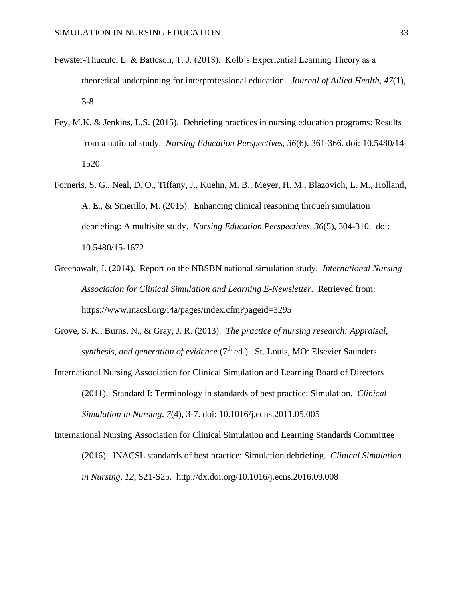- Fewster-Thuente, L. & Batteson, T. J. (2018). Kolb's Experiential Learning Theory as a theoretical underpinning for interprofessional education. *Journal of Allied Health, 47*(1), 3-8.
- Fey, M.K. & Jenkins, L.S. (2015). Debriefing practices in nursing education programs: Results from a national study. *Nursing Education Perspectives, 36*(6), 361-366. doi: 10.5480/14- 1520
- Forneris, S. G., Neal, D. O., Tiffany, J., Kuehn, M. B., Meyer, H. M., Blazovich, L. M., Holland, A. E., & Smerillo, M. (2015). Enhancing clinical reasoning through simulation debriefing: A multisite study. *Nursing Education Perspectives, 36*(5), 304-310. doi: 10.5480/15-1672
- Greenawalt, J. (2014). Report on the NBSBN national simulation study. *International Nursing Association for Clinical Simulation and Learning E-Newsletter*. Retrieved from: https://www.inacsl.org/i4a/pages/index.cfm?pageid=3295
- Grove, S. K., Burns, N., & Gray, J. R. (2013). *The practice of nursing research: Appraisal, synthesis, and generation of evidence* (7<sup>th</sup> ed.). St. Louis, MO: Elsevier Saunders.
- International Nursing Association for Clinical Simulation and Learning Board of Directors (2011). Standard I: Terminology in standards of best practice: Simulation. *Clinical Simulation in Nursing, 7*(4), 3-7. doi: 10.1016/j.ecns.2011.05.005
- International Nursing Association for Clinical Simulation and Learning Standards Committee (2016). INACSL standards of best practice: Simulation debriefing. *Clinical Simulation in Nursing, 12*, S21-S25. http://dx.doi.org/10.1016/j.ecns.2016.09.008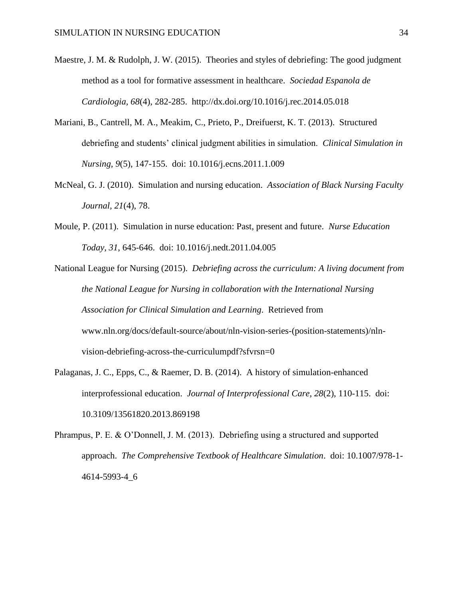- Maestre, J. M. & Rudolph, J. W. (2015). Theories and styles of debriefing: The good judgment method as a tool for formative assessment in healthcare. *Sociedad Espanola de Cardiologia, 68*(4), 282-285. http://dx.doi.org/10.1016/j.rec.2014.05.018
- Mariani, B., Cantrell, M. A., Meakim, C., Prieto, P., Dreifuerst, K. T. (2013). Structured debriefing and students' clinical judgment abilities in simulation. *Clinical Simulation in Nursing, 9*(5), 147-155. doi: 10.1016/j.ecns.2011.1.009
- McNeal, G. J. (2010). Simulation and nursing education. *Association of Black Nursing Faculty Journal, 21*(4), 78.
- Moule, P. (2011). Simulation in nurse education: Past, present and future. *Nurse Education Today, 31*, 645-646. doi: 10.1016/j.nedt.2011.04.005
- National League for Nursing (2015). *Debriefing across the curriculum: A living document from the National League for Nursing in collaboration with the International Nursing Association for Clinical Simulation and Learning*. Retrieved from www.nln.org/docs/default-source/about/nln-vision-series-(position-statements)/nlnvision-debriefing-across-the-curriculumpdf?sfvrsn=0
- Palaganas, J. C., Epps, C., & Raemer, D. B. (2014). A history of simulation-enhanced interprofessional education. *Journal of Interprofessional Care, 28*(2), 110-115. doi: 10.3109/13561820.2013.869198
- Phrampus, P. E. & O'Donnell, J. M. (2013). Debriefing using a structured and supported approach. *The Comprehensive Textbook of Healthcare Simulation*. doi: 10.1007/978-1- 4614-5993-4\_6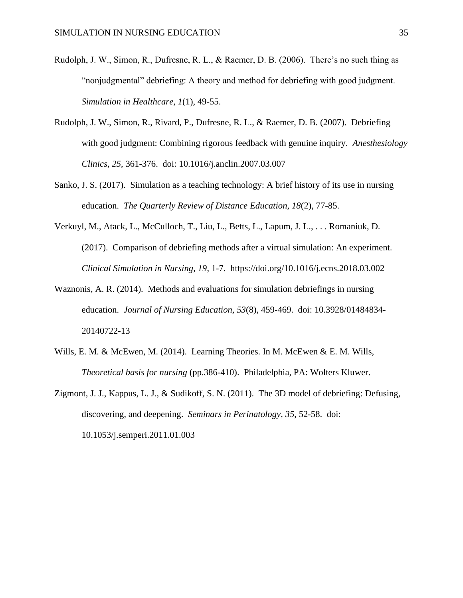- Rudolph, J. W., Simon, R., Dufresne, R. L., & Raemer, D. B. (2006). There's no such thing as "nonjudgmental" debriefing: A theory and method for debriefing with good judgment. *Simulation in Healthcare, 1*(1), 49-55.
- Rudolph, J. W., Simon, R., Rivard, P., Dufresne, R. L., & Raemer, D. B. (2007). Debriefing with good judgment: Combining rigorous feedback with genuine inquiry. *Anesthesiology Clinics, 25*, 361-376. doi: 10.1016/j.anclin.2007.03.007
- Sanko, J. S. (2017). Simulation as a teaching technology: A brief history of its use in nursing education. *The Quarterly Review of Distance Education, 18*(2), 77-85.
- Verkuyl, M., Atack, L., McCulloch, T., Liu, L., Betts, L., Lapum, J. L., . . . Romaniuk, D. (2017). Comparison of debriefing methods after a virtual simulation: An experiment. *Clinical Simulation in Nursing, 19*, 1-7. https://doi.org/10.1016/j.ecns.2018.03.002
- Waznonis, A. R. (2014). Methods and evaluations for simulation debriefings in nursing education. *Journal of Nursing Education, 53*(8), 459-469. doi: 10.3928/01484834- 20140722-13
- Wills, E. M. & McEwen, M. (2014). Learning Theories. In M. McEwen & E. M. Wills, *Theoretical basis for nursing* (pp.386-410). Philadelphia, PA: Wolters Kluwer.
- Zigmont, J. J., Kappus, L. J., & Sudikoff, S. N. (2011). The 3D model of debriefing: Defusing, discovering, and deepening. *Seminars in Perinatology, 35*, 52-58. doi: 10.1053/j.semperi.2011.01.003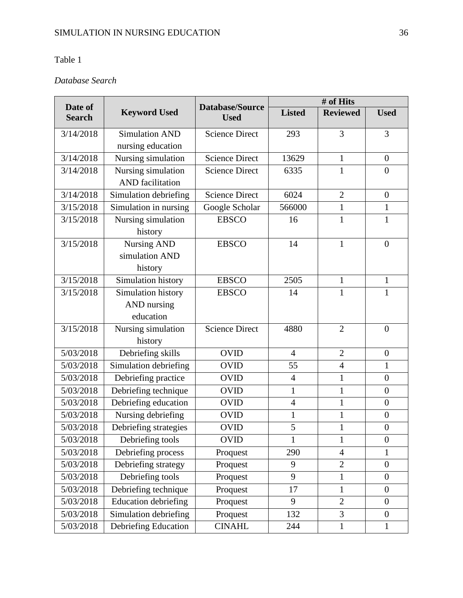### Table 1

### *Database Search*

| Date of       |                             | Database/Source       |                | # of Hits       |                  |
|---------------|-----------------------------|-----------------------|----------------|-----------------|------------------|
| <b>Search</b> | <b>Keyword Used</b>         | <b>Used</b>           | <b>Listed</b>  | <b>Reviewed</b> | <b>Used</b>      |
| 3/14/2018     | <b>Simulation AND</b>       | <b>Science Direct</b> | 293            | 3               | 3                |
|               | nursing education           |                       |                |                 |                  |
| 3/14/2018     | Nursing simulation          | <b>Science Direct</b> | 13629          | $\mathbf{1}$    | $\overline{0}$   |
| 3/14/2018     | Nursing simulation          | <b>Science Direct</b> | 6335           | $\mathbf{1}$    | $\overline{0}$   |
|               | <b>AND</b> facilitation     |                       |                |                 |                  |
| 3/14/2018     | Simulation debriefing       | <b>Science Direct</b> | 6024           | $\overline{2}$  | $\overline{0}$   |
| 3/15/2018     | Simulation in nursing       | Google Scholar        | 566000         | $\mathbf{1}$    | $\mathbf{1}$     |
| 3/15/2018     | Nursing simulation          | <b>EBSCO</b>          | 16             | $\mathbf{1}$    | $\mathbf{1}$     |
|               | history                     |                       |                |                 |                  |
| 3/15/2018     | <b>Nursing AND</b>          | <b>EBSCO</b>          | 14             | $\mathbf{1}$    | $\boldsymbol{0}$ |
|               | simulation AND              |                       |                |                 |                  |
|               | history                     |                       |                |                 |                  |
| 3/15/2018     | Simulation history          | <b>EBSCO</b>          | 2505           | $\mathbf{1}$    | $\mathbf{1}$     |
| 3/15/2018     | Simulation history          | <b>EBSCO</b>          | 14             | $\mathbf{1}$    | 1                |
|               | AND nursing                 |                       |                |                 |                  |
|               | education                   |                       |                |                 |                  |
| 3/15/2018     | Nursing simulation          | <b>Science Direct</b> | 4880           | $\overline{2}$  | $\overline{0}$   |
|               | history                     |                       |                |                 |                  |
| 5/03/2018     | Debriefing skills           | <b>OVID</b>           | $\overline{4}$ | $\overline{2}$  | $\boldsymbol{0}$ |
| 5/03/2018     | Simulation debriefing       | <b>OVID</b>           | 55             | $\overline{4}$  | $\mathbf{1}$     |
| 5/03/2018     | Debriefing practice         | <b>OVID</b>           | $\overline{4}$ | $\mathbf{1}$    | $\boldsymbol{0}$ |
| 5/03/2018     | Debriefing technique        | <b>OVID</b>           | $\mathbf{1}$   | $\mathbf{1}$    | $\boldsymbol{0}$ |
| 5/03/2018     | Debriefing education        | <b>OVID</b>           | $\overline{4}$ | $\mathbf{1}$    | $\boldsymbol{0}$ |
| 5/03/2018     | Nursing debriefing          | <b>OVID</b>           | $\mathbf{1}$   | $\mathbf{1}$    | $\boldsymbol{0}$ |
| 5/03/2018     | Debriefing strategies       | <b>OVID</b>           | 5              | $\mathbf{1}$    | $\boldsymbol{0}$ |
| 5/03/2018     | Debriefing tools            | <b>OVID</b>           | $\mathbf{1}$   | $\mathbf{1}$    | $\boldsymbol{0}$ |
| 5/03/2018     | Debriefing process          | Proquest              | 290            | $\overline{4}$  | 1                |
| 5/03/2018     | Debriefing strategy         | Proquest              | 9              | $\overline{2}$  | $\boldsymbol{0}$ |
| 5/03/2018     | Debriefing tools            | Proquest              | 9              | $\mathbf{1}$    | $\theta$         |
| 5/03/2018     | Debriefing technique        | Proquest              | 17             | $\mathbf{1}$    | $\overline{0}$   |
| 5/03/2018     | <b>Education debriefing</b> | Proquest              | 9              | $\overline{2}$  | $\overline{0}$   |
| 5/03/2018     | Simulation debriefing       | Proquest              | 132            | 3               | $\boldsymbol{0}$ |
| 5/03/2018     | Debriefing Education        | <b>CINAHL</b>         | 244            | $\mathbf{1}$    | $\mathbf{1}$     |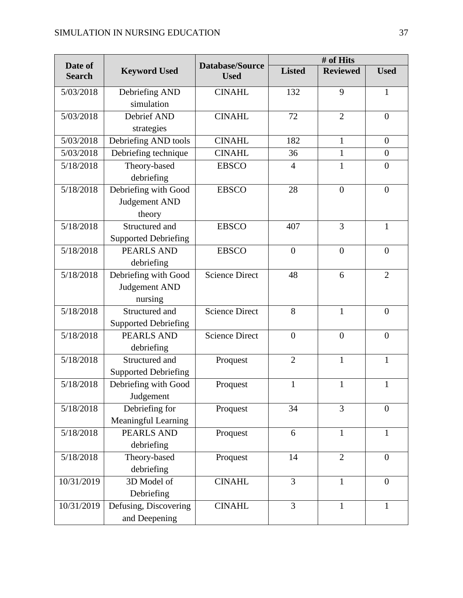| Date of       |                             | Database/Source       |                | # of Hits       |                  |
|---------------|-----------------------------|-----------------------|----------------|-----------------|------------------|
| <b>Search</b> | <b>Keyword Used</b>         | <b>Used</b>           | <b>Listed</b>  | <b>Reviewed</b> | <b>Used</b>      |
| 5/03/2018     | Debriefing AND              | <b>CINAHL</b>         | 132            | 9               | $\mathbf{1}$     |
|               | simulation                  |                       |                |                 |                  |
| 5/03/2018     | Debrief AND                 | <b>CINAHL</b>         | 72             | $\overline{2}$  | $\overline{0}$   |
|               | strategies                  |                       |                |                 |                  |
| 5/03/2018     | Debriefing AND tools        | <b>CINAHL</b>         | 182            | $\mathbf{1}$    | $\boldsymbol{0}$ |
| 5/03/2018     | Debriefing technique        | <b>CINAHL</b>         | 36             | $\mathbf{1}$    | $\boldsymbol{0}$ |
| 5/18/2018     | Theory-based                | <b>EBSCO</b>          | $\overline{4}$ | $\mathbf{1}$    | $\overline{0}$   |
|               | debriefing                  |                       |                |                 |                  |
| 5/18/2018     | Debriefing with Good        | <b>EBSCO</b>          | 28             | $\overline{0}$  | $\overline{0}$   |
|               | Judgement AND               |                       |                |                 |                  |
|               | theory                      |                       |                |                 |                  |
| 5/18/2018     | Structured and              | <b>EBSCO</b>          | 407            | 3               | $\mathbf{1}$     |
|               | <b>Supported Debriefing</b> |                       |                |                 |                  |
| 5/18/2018     | <b>PEARLS AND</b>           | <b>EBSCO</b>          | $\overline{0}$ | $\overline{0}$  | $\overline{0}$   |
|               | debriefing                  |                       |                |                 |                  |
| 5/18/2018     | Debriefing with Good        | <b>Science Direct</b> | 48             | 6               | $\overline{2}$   |
|               | Judgement AND               |                       |                |                 |                  |
|               | nursing                     |                       |                |                 |                  |
| 5/18/2018     | Structured and              | <b>Science Direct</b> | 8              | 1               | $\overline{0}$   |
|               | <b>Supported Debriefing</b> |                       |                |                 |                  |
| 5/18/2018     | <b>PEARLS AND</b>           | <b>Science Direct</b> | $\overline{0}$ | $\overline{0}$  | $\overline{0}$   |
|               | debriefing                  |                       |                |                 |                  |
| 5/18/2018     | Structured and              | Proquest              | $\overline{2}$ | $\mathbf{1}$    | $\mathbf{1}$     |
|               | <b>Supported Debriefing</b> |                       |                |                 |                  |
| 5/18/2018     | Debriefing with Good        | Proquest              | $\mathbf{1}$   | $\mathbf{1}$    | $\mathbf{1}$     |
|               | Judgement                   |                       |                |                 |                  |
| 5/18/2018     | Debriefing for              | Proquest              | 34             | 3               | $\overline{0}$   |
|               | Meaningful Learning         |                       |                |                 |                  |
| 5/18/2018     | <b>PEARLS AND</b>           | Proquest              | 6              | $\mathbf{1}$    | $\mathbf{1}$     |
|               | debriefing                  |                       |                |                 |                  |
| 5/18/2018     | Theory-based                | Proquest              | 14             | $\overline{2}$  | $\overline{0}$   |
|               | debriefing                  |                       |                |                 |                  |
| 10/31/2019    | 3D Model of                 | <b>CINAHL</b>         | 3              | $\mathbf{1}$    | $\overline{0}$   |
|               | Debriefing                  |                       |                |                 |                  |
| 10/31/2019    | Defusing, Discovering       | <b>CINAHL</b>         | 3              | $\mathbf{1}$    | 1                |
|               | and Deepening               |                       |                |                 |                  |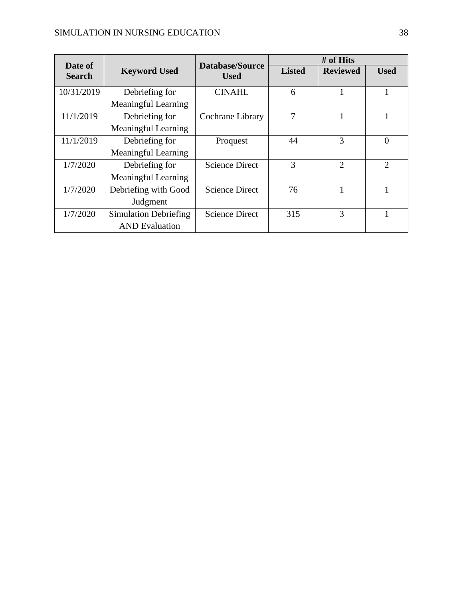| Date of       |                              | <b>Database/Source</b> |               | # of Hits       |                |
|---------------|------------------------------|------------------------|---------------|-----------------|----------------|
| <b>Search</b> | <b>Keyword Used</b>          | <b>Used</b>            | <b>Listed</b> | <b>Reviewed</b> | <b>Used</b>    |
| 10/31/2019    | Debriefing for               | <b>CINAHL</b>          | 6             |                 |                |
|               | <b>Meaningful Learning</b>   |                        |               |                 |                |
| 11/1/2019     | Debriefing for               | Cochrane Library       | 7             |                 |                |
|               | <b>Meaningful Learning</b>   |                        |               |                 |                |
| 11/1/2019     | Debriefing for               | Proquest               | 44            | 3               | $\theta$       |
|               | <b>Meaningful Learning</b>   |                        |               |                 |                |
| 1/7/2020      | Debriefing for               | <b>Science Direct</b>  | 3             | $\overline{2}$  | $\overline{2}$ |
|               | <b>Meaningful Learning</b>   |                        |               |                 |                |
| 1/7/2020      | Debriefing with Good         | <b>Science Direct</b>  | 76            |                 |                |
|               | Judgment                     |                        |               |                 |                |
| 1/7/2020      | <b>Simulation Debriefing</b> | <b>Science Direct</b>  | 315           | 3               |                |
|               | <b>AND</b> Evaluation        |                        |               |                 |                |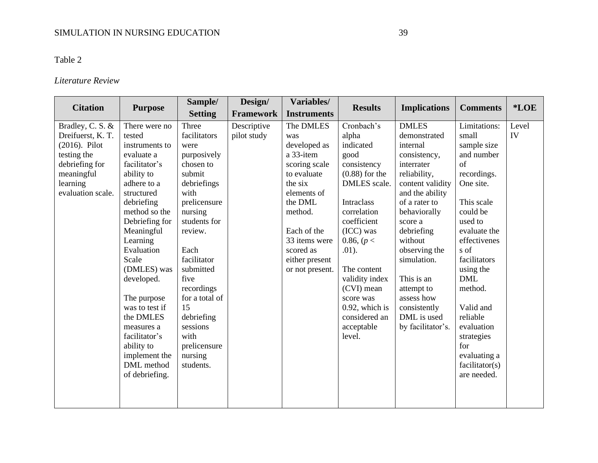### Table 2

### *Literature Review*

|                                                                                                                      |                                                                                                                                                                                                                                                                                       | Sample/                                                                                                                                                                                                                | Design/                    | Variables/                                                                                                          |                                                                                                                                                                                                               |                                                                                                                                                                                                                    |                                                                                                                                                                                                                                              | *LOE        |
|----------------------------------------------------------------------------------------------------------------------|---------------------------------------------------------------------------------------------------------------------------------------------------------------------------------------------------------------------------------------------------------------------------------------|------------------------------------------------------------------------------------------------------------------------------------------------------------------------------------------------------------------------|----------------------------|---------------------------------------------------------------------------------------------------------------------|---------------------------------------------------------------------------------------------------------------------------------------------------------------------------------------------------------------|--------------------------------------------------------------------------------------------------------------------------------------------------------------------------------------------------------------------|----------------------------------------------------------------------------------------------------------------------------------------------------------------------------------------------------------------------------------------------|-------------|
| <b>Citation</b>                                                                                                      | <b>Purpose</b>                                                                                                                                                                                                                                                                        | <b>Setting</b>                                                                                                                                                                                                         | <b>Framework</b>           | <b>Instruments</b>                                                                                                  | <b>Results</b>                                                                                                                                                                                                | <b>Implications</b>                                                                                                                                                                                                | <b>Comments</b>                                                                                                                                                                                                                              |             |
| Bradley, C. S. &<br>Dreifuerst, K. T.<br>$(2016)$ . Pilot<br>testing the<br>debriefing for<br>meaningful<br>learning | There were no<br>tested<br>instruments to<br>evaluate a<br>facilitator's<br>ability to<br>adhere to a                                                                                                                                                                                 | Three<br>facilitators<br>were<br>purposively<br>chosen to<br>submit<br>debriefings                                                                                                                                     | Descriptive<br>pilot study | The DMLES<br>was<br>developed as<br>a 33-item<br>scoring scale<br>to evaluate<br>the six                            | Cronbach's<br>alpha<br>indicated<br>good<br>consistency<br>$(0.88)$ for the<br>DMLES scale.                                                                                                                   | <b>DMLES</b><br>demonstrated<br>internal<br>consistency,<br>interrater<br>reliability,<br>content validity                                                                                                         | Limitations:<br>small<br>sample size<br>and number<br>of<br>recordings.<br>One site.                                                                                                                                                         | Level<br>IV |
| evaluation scale.                                                                                                    | structured<br>debriefing<br>method so the<br>Debriefing for<br>Meaningful<br>Learning<br>Evaluation<br>Scale<br>(DMLES) was<br>developed.<br>The purpose<br>was to test if<br>the DMLES<br>measures a<br>facilitator's<br>ability to<br>implement the<br>DML method<br>of debriefing. | with<br>prelicensure<br>nursing<br>students for<br>review.<br>Each<br>facilitator<br>submitted<br>five<br>recordings<br>for a total of<br>15<br>debriefing<br>sessions<br>with<br>prelicensure<br>nursing<br>students. |                            | elements of<br>the DML<br>method.<br>Each of the<br>33 items were<br>scored as<br>either present<br>or not present. | Intraclass<br>correlation<br>coefficient<br>$(ICC)$ was<br>0.86, $(p <$<br>$.01$ ).<br>The content<br>validity index<br>(CVI) mean<br>score was<br>$0.92$ , which is<br>considered an<br>acceptable<br>level. | and the ability<br>of a rater to<br>behaviorally<br>score a<br>debriefing<br>without<br>observing the<br>simulation.<br>This is an<br>attempt to<br>assess how<br>consistently<br>DML is used<br>by facilitator's. | This scale<br>could be<br>used to<br>evaluate the<br>effectivenes<br>s of<br>facilitators<br>using the<br><b>DML</b><br>method.<br>Valid and<br>reliable<br>evaluation<br>strategies<br>for<br>evaluating a<br>facilitator(s)<br>are needed. |             |
|                                                                                                                      |                                                                                                                                                                                                                                                                                       |                                                                                                                                                                                                                        |                            |                                                                                                                     |                                                                                                                                                                                                               |                                                                                                                                                                                                                    |                                                                                                                                                                                                                                              |             |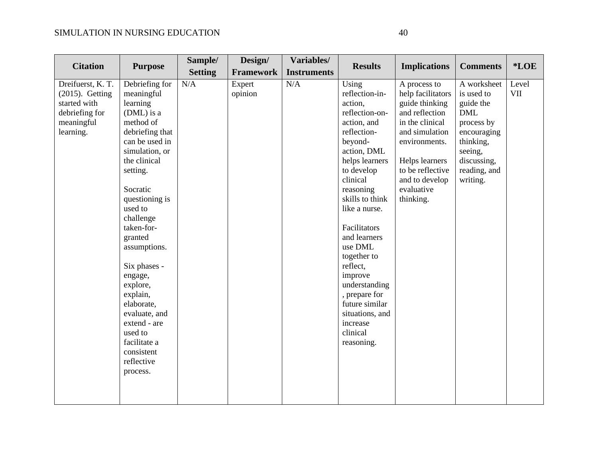| <b>Citation</b>                                                                                      |                                                                                                                                                                                                                                                                                                                                                                                                                            | Sample/        | Design/           | Variables/         | <b>Results</b>                                                                                                                                                                                                                                                                                                                                                                                          |                                                                                                                                                                                                                |                                                                                                                                                      | $*LOE$              |
|------------------------------------------------------------------------------------------------------|----------------------------------------------------------------------------------------------------------------------------------------------------------------------------------------------------------------------------------------------------------------------------------------------------------------------------------------------------------------------------------------------------------------------------|----------------|-------------------|--------------------|---------------------------------------------------------------------------------------------------------------------------------------------------------------------------------------------------------------------------------------------------------------------------------------------------------------------------------------------------------------------------------------------------------|----------------------------------------------------------------------------------------------------------------------------------------------------------------------------------------------------------------|------------------------------------------------------------------------------------------------------------------------------------------------------|---------------------|
|                                                                                                      | <b>Purpose</b>                                                                                                                                                                                                                                                                                                                                                                                                             | <b>Setting</b> | <b>Framework</b>  | <b>Instruments</b> |                                                                                                                                                                                                                                                                                                                                                                                                         | <b>Implications</b>                                                                                                                                                                                            | <b>Comments</b>                                                                                                                                      |                     |
| Dreifuerst, K. T.<br>$(2015)$ . Getting<br>started with<br>debriefing for<br>meaningful<br>learning. | Debriefing for<br>meaningful<br>learning<br>(DML) is a<br>method of<br>debriefing that<br>can be used in<br>simulation, or<br>the clinical<br>setting.<br>Socratic<br>questioning is<br>used to<br>challenge<br>taken-for-<br>granted<br>assumptions.<br>Six phases -<br>engage,<br>explore,<br>explain,<br>elaborate,<br>evaluate, and<br>extend - are<br>used to<br>facilitate a<br>consistent<br>reflective<br>process. | N/A            | Expert<br>opinion | N/A                | Using<br>reflection-in-<br>action,<br>reflection-on-<br>action, and<br>reflection-<br>beyond-<br>action, DML<br>helps learners<br>to develop<br>clinical<br>reasoning<br>skills to think<br>like a nurse.<br>Facilitators<br>and learners<br>use DML<br>together to<br>reflect,<br>improve<br>understanding<br>, prepare for<br>future similar<br>situations, and<br>increase<br>clinical<br>reasoning. | A process to<br>help facilitators<br>guide thinking<br>and reflection<br>in the clinical<br>and simulation<br>environments.<br>Helps learners<br>to be reflective<br>and to develop<br>evaluative<br>thinking. | A worksheet<br>is used to<br>guide the<br><b>DML</b><br>process by<br>encouraging<br>thinking,<br>seeing,<br>discussing,<br>reading, and<br>writing. | Level<br><b>VII</b> |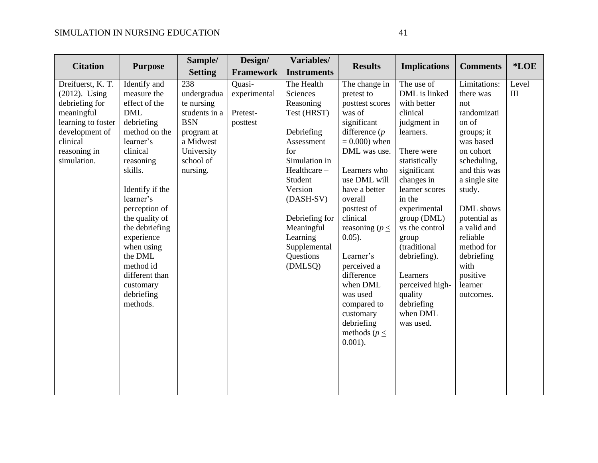| <b>Citation</b>                                                                                                                                          | <b>Purpose</b>                                                                                                                                                                                                                                                                                                                               | Sample/                                                                                                                           | Design/                                        | Variables/                                                                                                                                                                                                                                   | <b>Results</b>                                                                                                                                                                                                                                                                                                                                                                                              | <b>Implications</b>                                                                                                                                                                                                                                                                                                                                   | <b>Comments</b>                                                                                                                                                                                                                                                                            | *LOE                                      |
|----------------------------------------------------------------------------------------------------------------------------------------------------------|----------------------------------------------------------------------------------------------------------------------------------------------------------------------------------------------------------------------------------------------------------------------------------------------------------------------------------------------|-----------------------------------------------------------------------------------------------------------------------------------|------------------------------------------------|----------------------------------------------------------------------------------------------------------------------------------------------------------------------------------------------------------------------------------------------|-------------------------------------------------------------------------------------------------------------------------------------------------------------------------------------------------------------------------------------------------------------------------------------------------------------------------------------------------------------------------------------------------------------|-------------------------------------------------------------------------------------------------------------------------------------------------------------------------------------------------------------------------------------------------------------------------------------------------------------------------------------------------------|--------------------------------------------------------------------------------------------------------------------------------------------------------------------------------------------------------------------------------------------------------------------------------------------|-------------------------------------------|
|                                                                                                                                                          |                                                                                                                                                                                                                                                                                                                                              | <b>Setting</b>                                                                                                                    | <b>Framework</b>                               | <b>Instruments</b>                                                                                                                                                                                                                           |                                                                                                                                                                                                                                                                                                                                                                                                             |                                                                                                                                                                                                                                                                                                                                                       |                                                                                                                                                                                                                                                                                            |                                           |
| Dreifuerst, K. T.<br>$(2012)$ . Using<br>debriefing for<br>meaningful<br>learning to foster<br>development of<br>clinical<br>reasoning in<br>simulation. | Identify and<br>measure the<br>effect of the<br><b>DML</b><br>debriefing<br>method on the<br>learner's<br>clinical<br>reasoning<br>skills.<br>Identify if the<br>learner's<br>perception of<br>the quality of<br>the debriefing<br>experience<br>when using<br>the DML<br>method id<br>different than<br>customary<br>debriefing<br>methods. | 238<br>undergradua<br>te nursing<br>students in a<br><b>BSN</b><br>program at<br>a Midwest<br>University<br>school of<br>nursing. | Quasi-<br>experimental<br>Pretest-<br>posttest | The Health<br>Sciences<br>Reasoning<br>Test (HRST)<br>Debriefing<br>Assessment<br>for<br>Simulation in<br>Healthcare-<br>Student<br>Version<br>(DASH-SV)<br>Debriefing for<br>Meaningful<br>Learning<br>Supplemental<br>Questions<br>(DMLSQ) | The change in<br>pretest to<br>posttest scores<br>was of<br>significant<br>difference $(p)$<br>$= 0.000$ ) when<br>DML was use.<br>Learners who<br>use DML will<br>have a better<br>overall<br>posttest of<br>clinical<br>reasoning ( $p \leq$<br>$0.05$ ).<br>Learner's<br>perceived a<br>difference<br>when DML<br>was used<br>compared to<br>customary<br>debriefing<br>methods ( $p \leq$<br>$0.001$ ). | The use of<br>DML is linked<br>with better<br>clinical<br>judgment in<br>learners.<br>There were<br>statistically<br>significant<br>changes in<br>learner scores<br>in the<br>experimental<br>group (DML)<br>vs the control<br>group<br>(traditional<br>debriefing).<br>Learners<br>perceived high-<br>quality<br>debriefing<br>when DML<br>was used. | Limitations:<br>there was<br>not<br>randomizati<br>on of<br>groups; it<br>was based<br>on cohort<br>scheduling,<br>and this was<br>a single site<br>study.<br>DML shows<br>potential as<br>a valid and<br>reliable<br>method for<br>debriefing<br>with<br>positive<br>learner<br>outcomes. | Level<br>$\mathop{\mathrm{III}}\nolimits$ |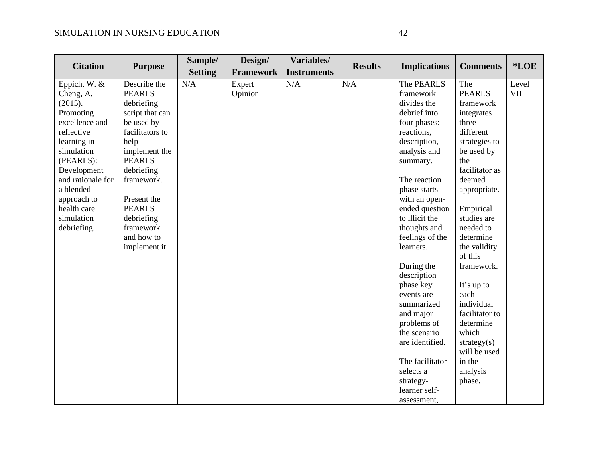| <b>Citation</b>   | <b>Purpose</b>  | Sample/        | Design/          | Variables/         | <b>Results</b> | <b>Implications</b> | <b>Comments</b> | *LOE       |
|-------------------|-----------------|----------------|------------------|--------------------|----------------|---------------------|-----------------|------------|
|                   |                 | <b>Setting</b> | <b>Framework</b> | <b>Instruments</b> |                |                     |                 |            |
| Eppich, W. &      | Describe the    | N/A            | Expert           | N/A                | N/A            | The PEARLS          | The             | Level      |
| Cheng, A.         | <b>PEARLS</b>   |                | Opinion          |                    |                | framework           | <b>PEARLS</b>   | <b>VII</b> |
| (2015).           | debriefing      |                |                  |                    |                | divides the         | framework       |            |
| Promoting         | script that can |                |                  |                    |                | debrief into        | integrates      |            |
| excellence and    | be used by      |                |                  |                    |                | four phases:        | three           |            |
| reflective        | facilitators to |                |                  |                    |                | reactions,          | different       |            |
| learning in       | help            |                |                  |                    |                | description,        | strategies to   |            |
| simulation        | implement the   |                |                  |                    |                | analysis and        | be used by      |            |
| (PEARLS):         | <b>PEARLS</b>   |                |                  |                    |                | summary.            | the             |            |
| Development       | debriefing      |                |                  |                    |                |                     | facilitator as  |            |
| and rationale for | framework.      |                |                  |                    |                | The reaction        | deemed          |            |
| a blended         |                 |                |                  |                    |                | phase starts        | appropriate.    |            |
| approach to       | Present the     |                |                  |                    |                | with an open-       |                 |            |
| health care       | <b>PEARLS</b>   |                |                  |                    |                | ended question      | Empirical       |            |
| simulation        | debriefing      |                |                  |                    |                | to illicit the      | studies are     |            |
| debriefing.       | framework       |                |                  |                    |                | thoughts and        | needed to       |            |
|                   | and how to      |                |                  |                    |                | feelings of the     | determine       |            |
|                   | implement it.   |                |                  |                    |                | learners.           | the validity    |            |
|                   |                 |                |                  |                    |                |                     | of this         |            |
|                   |                 |                |                  |                    |                | During the          | framework.      |            |
|                   |                 |                |                  |                    |                | description         |                 |            |
|                   |                 |                |                  |                    |                | phase key           | It's up to      |            |
|                   |                 |                |                  |                    |                | events are          | each            |            |
|                   |                 |                |                  |                    |                | summarized          | individual      |            |
|                   |                 |                |                  |                    |                | and major           | facilitator to  |            |
|                   |                 |                |                  |                    |                | problems of         | determine       |            |
|                   |                 |                |                  |                    |                | the scenario        | which           |            |
|                   |                 |                |                  |                    |                | are identified.     | strategy $(s)$  |            |
|                   |                 |                |                  |                    |                |                     | will be used    |            |
|                   |                 |                |                  |                    |                | The facilitator     | in the          |            |
|                   |                 |                |                  |                    |                | selects a           | analysis        |            |
|                   |                 |                |                  |                    |                | strategy-           | phase.          |            |
|                   |                 |                |                  |                    |                | learner self-       |                 |            |
|                   |                 |                |                  |                    |                | assessment.         |                 |            |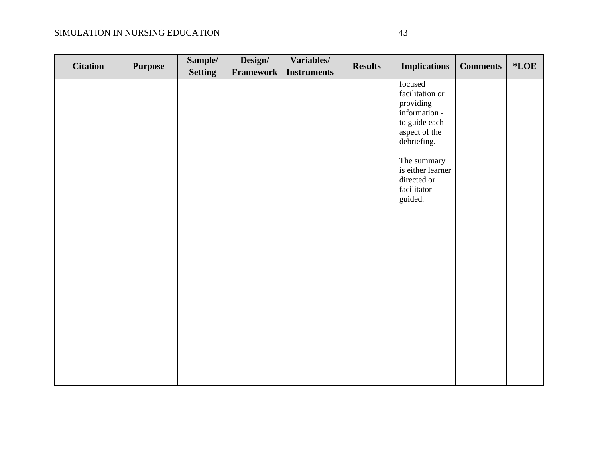| <b>Citation</b> | <b>Purpose</b> | Sample/        | Design/   | Variables/         | <b>Results</b> | <b>Implications</b>                                                                                                                                                                    | <b>Comments</b> | $*$ <b>LOE</b> |
|-----------------|----------------|----------------|-----------|--------------------|----------------|----------------------------------------------------------------------------------------------------------------------------------------------------------------------------------------|-----------------|----------------|
|                 |                | <b>Setting</b> | Framework | <b>Instruments</b> |                |                                                                                                                                                                                        |                 |                |
|                 |                |                |           |                    |                | focused<br>facilitation or<br>providing<br>information -<br>to guide each<br>aspect of the<br>debriefing.<br>The summary<br>is either learner<br>directed or<br>facilitator<br>guided. |                 |                |
|                 |                |                |           |                    |                |                                                                                                                                                                                        |                 |                |
|                 |                |                |           |                    |                |                                                                                                                                                                                        |                 |                |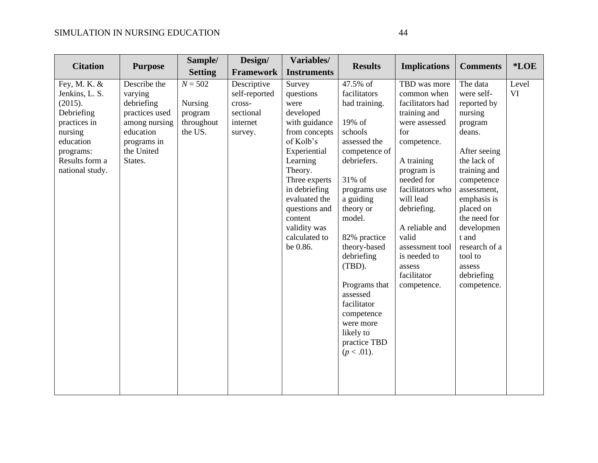| <b>Citation</b>                                                                                                                                   | <b>Purpose</b>                                                                                                                | Sample/<br><b>Setting</b>                                | Design/<br><b>Framework</b>                                                | Variables/<br><b>Instruments</b>                                                                                                                                                                                                                           | <b>Results</b>                                                                                                                                                                                                                                                                                                                                            | <b>Implications</b>                                                                                                                                                                                                                                                                                    | <b>Comments</b>                                                                                                                                                                                                                                                                         | *LOE        |
|---------------------------------------------------------------------------------------------------------------------------------------------------|-------------------------------------------------------------------------------------------------------------------------------|----------------------------------------------------------|----------------------------------------------------------------------------|------------------------------------------------------------------------------------------------------------------------------------------------------------------------------------------------------------------------------------------------------------|-----------------------------------------------------------------------------------------------------------------------------------------------------------------------------------------------------------------------------------------------------------------------------------------------------------------------------------------------------------|--------------------------------------------------------------------------------------------------------------------------------------------------------------------------------------------------------------------------------------------------------------------------------------------------------|-----------------------------------------------------------------------------------------------------------------------------------------------------------------------------------------------------------------------------------------------------------------------------------------|-------------|
| Fey, M. K. &<br>Jenkins, L. S.<br>(2015).<br>Debriefing<br>practices in<br>nursing<br>education<br>programs:<br>Results form a<br>national study. | Describe the<br>varying<br>debriefing<br>practices used<br>among nursing<br>education<br>programs in<br>the United<br>States. | $N = 502$<br>Nursing<br>program<br>throughout<br>the US. | Descriptive<br>self-reported<br>cross-<br>sectional<br>internet<br>survey. | Survey<br>questions<br>were<br>developed<br>with guidance<br>from concepts<br>of Kolb's<br>Experiential<br>Learning<br>Theory.<br>Three experts<br>in debriefing<br>evaluated the<br>questions and<br>content<br>validity was<br>calculated to<br>be 0.86. | 47.5% of<br>facilitators<br>had training.<br>19% of<br>schools<br>assessed the<br>competence of<br>debriefers.<br>31% of<br>programs use<br>a guiding<br>theory or<br>model.<br>82% practice<br>theory-based<br>debriefing<br>(TBD).<br>Programs that<br>assessed<br>facilitator<br>competence<br>were more<br>likely to<br>practice TBD<br>$(p < .01)$ . | TBD was more<br>common when<br>facilitators had<br>training and<br>were assessed<br>for<br>competence.<br>A training<br>program is<br>needed for<br>facilitators who<br>will lead<br>debriefing.<br>A reliable and<br>valid<br>assessment tool<br>is needed to<br>assess<br>facilitator<br>competence. | The data<br>were self-<br>reported by<br>nursing<br>program<br>deans.<br>After seeing<br>the lack of<br>training and<br>competence<br>assessment,<br>emphasis is<br>placed on<br>the need for<br>developmen<br>t and<br>research of a<br>tool to<br>assess<br>debriefing<br>competence. | Level<br>VI |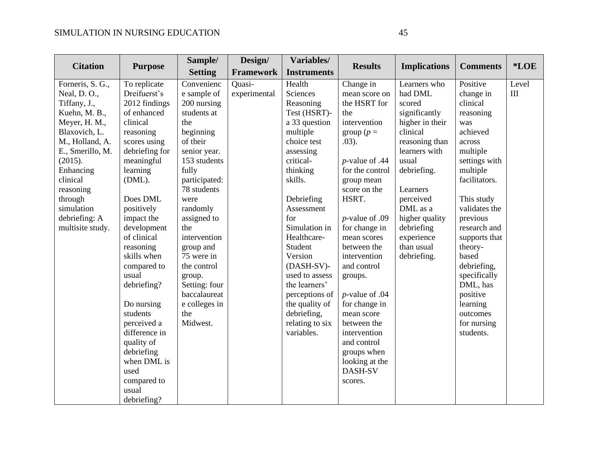| <b>Citation</b>  |                | Sample/        | Design/          | Variables/         | <b>Results</b>    |                     | <b>Comments</b> | *LOE  |
|------------------|----------------|----------------|------------------|--------------------|-------------------|---------------------|-----------------|-------|
|                  | <b>Purpose</b> | <b>Setting</b> | <b>Framework</b> | <b>Instruments</b> |                   | <b>Implications</b> |                 |       |
| Forneris, S. G., | To replicate   | Convenienc     | Quasi-           | Health             | Change in         | Learners who        | Positive        | Level |
| Neal, D.O.,      | Dreifuerst's   | e sample of    | experimental     | Sciences           | mean score on     | had DML             | change in       | III   |
| Tiffany, J.,     | 2012 findings  | 200 nursing    |                  | Reasoning          | the HSRT for      | scored              | clinical        |       |
| Kuehn, M. B.,    | of enhanced    | students at    |                  | Test (HSRT)-       | the               | significantly       | reasoning       |       |
| Meyer, H. M.,    | clinical       | the            |                  | a 33 question      | intervention      | higher in their     | was             |       |
| Blaxovich, L.    | reasoning      | beginning      |                  | multiple           | group ( $p =$     | clinical            | achieved        |       |
| M., Holland, A.  | scores using   | of their       |                  | choice test        | .03).             | reasoning than      | across          |       |
| E., Smerillo, M. | debriefing for | senior year.   |                  | assessing          |                   | learners with       | multiple        |       |
| (2015).          | meaningful     | 153 students   |                  | critical-          | $p$ -value of .44 | usual               | settings with   |       |
| Enhancing        | learning       | fully          |                  | thinking           | for the control   | debriefing.         | multiple        |       |
| clinical         | (DML).         | participated:  |                  | skills.            | group mean        |                     | facilitators.   |       |
| reasoning        |                | 78 students    |                  |                    | score on the      | Learners            |                 |       |
| through          | Does DML       | were           |                  | Debriefing         | HSRT.             | perceived           | This study      |       |
| simulation       | positively     | randomly       |                  | Assessment         |                   | DML as a            | validates the   |       |
| debriefing: A    | impact the     | assigned to    |                  | for                | $p$ -value of .09 | higher quality      | previous        |       |
| multisite study. | development    | the            |                  | Simulation in      | for change in     | debriefing          | research and    |       |
|                  | of clinical    | intervention   |                  | Healthcare-        | mean scores       | experience          | supports that   |       |
|                  | reasoning      | group and      |                  | Student            | between the       | than usual          | theory-         |       |
|                  | skills when    | 75 were in     |                  | Version            | intervention      | debriefing.         | based           |       |
|                  | compared to    | the control    |                  | (DASH-SV)-         | and control       |                     | debriefing,     |       |
|                  | usual          | group.         |                  | used to assess     | groups.           |                     | specifically    |       |
|                  | debriefing?    | Setting: four  |                  | the learners'      |                   |                     | DML, has        |       |
|                  |                | baccalaureat   |                  | perceptions of     | $p$ -value of .04 |                     | positive        |       |
|                  | Do nursing     | e colleges in  |                  | the quality of     | for change in     |                     | learning        |       |
|                  | students       | the            |                  | debriefing,        | mean score        |                     | outcomes        |       |
|                  | perceived a    | Midwest.       |                  | relating to six    | between the       |                     | for nursing     |       |
|                  | difference in  |                |                  | variables.         | intervention      |                     | students.       |       |
|                  | quality of     |                |                  |                    | and control       |                     |                 |       |
|                  | debriefing     |                |                  |                    | groups when       |                     |                 |       |
|                  | when DML is    |                |                  |                    | looking at the    |                     |                 |       |
|                  | used           |                |                  |                    | DASH-SV           |                     |                 |       |
|                  | compared to    |                |                  |                    | scores.           |                     |                 |       |
|                  | usual          |                |                  |                    |                   |                     |                 |       |
|                  | debriefing?    |                |                  |                    |                   |                     |                 |       |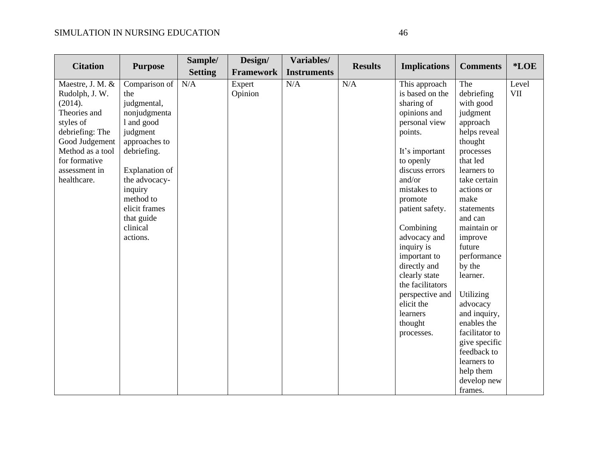| <b>Citation</b>           |                      | Sample/        | Design/           | Variables/         | <b>Results</b> |                                  |                      | *LOE                |
|---------------------------|----------------------|----------------|-------------------|--------------------|----------------|----------------------------------|----------------------|---------------------|
|                           | <b>Purpose</b>       | <b>Setting</b> | <b>Framework</b>  | <b>Instruments</b> |                | <b>Implications</b>              | <b>Comments</b>      |                     |
| Maestre, J. M. &          | Comparison of<br>the | N/A            | Expert<br>Opinion | N/A                | N/A            | This approach<br>is based on the | The<br>debriefing    | Level<br><b>VII</b> |
| Rudolph, J. W.<br>(2014). | judgmental,          |                |                   |                    |                | sharing of                       | with good            |                     |
| Theories and              | nonjudgmenta         |                |                   |                    |                |                                  |                      |                     |
| styles of                 | 1 and good           |                |                   |                    |                | opinions and<br>personal view    | judgment<br>approach |                     |
| debriefing: The           | judgment             |                |                   |                    |                | points.                          | helps reveal         |                     |
| Good Judgement            | approaches to        |                |                   |                    |                |                                  | thought              |                     |
| Method as a tool          | debriefing.          |                |                   |                    |                | It's important                   | processes            |                     |
| for formative             |                      |                |                   |                    |                | to openly                        | that led             |                     |
| assessment in             | Explanation of       |                |                   |                    |                | discuss errors                   | learners to          |                     |
| healthcare.               | the advocacy-        |                |                   |                    |                | and/or                           | take certain         |                     |
|                           | inquiry              |                |                   |                    |                | mistakes to                      | actions or           |                     |
|                           | method to            |                |                   |                    |                | promote                          | make                 |                     |
|                           | elicit frames        |                |                   |                    |                | patient safety.                  | statements           |                     |
|                           | that guide           |                |                   |                    |                |                                  | and can              |                     |
|                           | clinical             |                |                   |                    |                | Combining                        | maintain or          |                     |
|                           | actions.             |                |                   |                    |                | advocacy and                     | improve              |                     |
|                           |                      |                |                   |                    |                | inquiry is                       | future               |                     |
|                           |                      |                |                   |                    |                | important to                     | performance          |                     |
|                           |                      |                |                   |                    |                | directly and                     | by the               |                     |
|                           |                      |                |                   |                    |                | clearly state                    | learner.             |                     |
|                           |                      |                |                   |                    |                | the facilitators                 |                      |                     |
|                           |                      |                |                   |                    |                | perspective and                  | Utilizing            |                     |
|                           |                      |                |                   |                    |                | elicit the                       | advocacy             |                     |
|                           |                      |                |                   |                    |                | learners                         | and inquiry,         |                     |
|                           |                      |                |                   |                    |                | thought                          | enables the          |                     |
|                           |                      |                |                   |                    |                | processes.                       | facilitator to       |                     |
|                           |                      |                |                   |                    |                |                                  | give specific        |                     |
|                           |                      |                |                   |                    |                |                                  | feedback to          |                     |
|                           |                      |                |                   |                    |                |                                  | learners to          |                     |
|                           |                      |                |                   |                    |                |                                  | help them            |                     |
|                           |                      |                |                   |                    |                |                                  | develop new          |                     |
|                           |                      |                |                   |                    |                |                                  | frames.              |                     |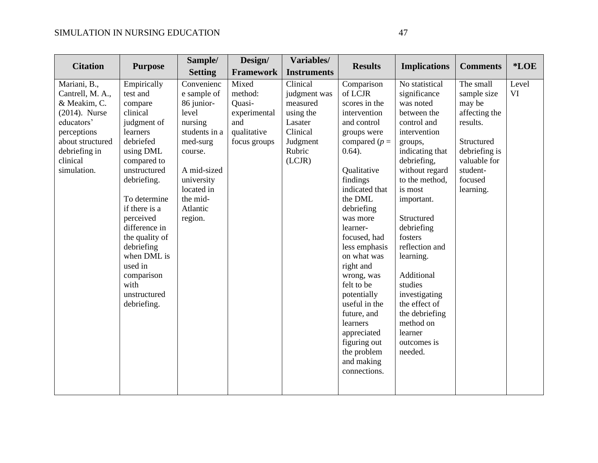|                                                                                                                                                                   |                                                                                                                                                                                                                                                                                                                                 | Sample/                                                                                                                                                                           | Design/                                                                          | Variables/                                                                                               |                                                                                                                                                                                                                                                                                                                                                                                                                                                    |                                                                                                                                                                                                                                                                                                                                                                                                          |                                                                                                                                                    |                    |
|-------------------------------------------------------------------------------------------------------------------------------------------------------------------|---------------------------------------------------------------------------------------------------------------------------------------------------------------------------------------------------------------------------------------------------------------------------------------------------------------------------------|-----------------------------------------------------------------------------------------------------------------------------------------------------------------------------------|----------------------------------------------------------------------------------|----------------------------------------------------------------------------------------------------------|----------------------------------------------------------------------------------------------------------------------------------------------------------------------------------------------------------------------------------------------------------------------------------------------------------------------------------------------------------------------------------------------------------------------------------------------------|----------------------------------------------------------------------------------------------------------------------------------------------------------------------------------------------------------------------------------------------------------------------------------------------------------------------------------------------------------------------------------------------------------|----------------------------------------------------------------------------------------------------------------------------------------------------|--------------------|
| <b>Citation</b>                                                                                                                                                   | <b>Purpose</b>                                                                                                                                                                                                                                                                                                                  | <b>Setting</b>                                                                                                                                                                    | <b>Framework</b>                                                                 | <b>Instruments</b>                                                                                       | <b>Results</b>                                                                                                                                                                                                                                                                                                                                                                                                                                     | <b>Implications</b>                                                                                                                                                                                                                                                                                                                                                                                      | <b>Comments</b>                                                                                                                                    | *LOE               |
| Mariani, B.,<br>Cantrell, M. A.,<br>& Meakim, C.<br>$(2014)$ . Nurse<br>educators'<br>perceptions<br>about structured<br>debriefing in<br>clinical<br>simulation. | Empirically<br>test and<br>compare<br>clinical<br>judgment of<br>learners<br>debriefed<br>using DML<br>compared to<br>unstructured<br>debriefing.<br>To determine<br>if there is a<br>perceived<br>difference in<br>the quality of<br>debriefing<br>when DML is<br>used in<br>comparison<br>with<br>unstructured<br>debriefing. | Convenienc<br>e sample of<br>86 junior-<br>level<br>nursing<br>students in a<br>med-surg<br>course.<br>A mid-sized<br>university<br>located in<br>the mid-<br>Atlantic<br>region. | Mixed<br>method:<br>Quasi-<br>experimental<br>and<br>qualitative<br>focus groups | Clinical<br>judgment was<br>measured<br>using the<br>Lasater<br>Clinical<br>Judgment<br>Rubric<br>(LCJR) | Comparison<br>of LCJR<br>scores in the<br>intervention<br>and control<br>groups were<br>compared $(p =$<br>$0.64$ ).<br>Qualitative<br>findings<br>indicated that<br>the DML<br>debriefing<br>was more<br>learner-<br>focused, had<br>less emphasis<br>on what was<br>right and<br>wrong, was<br>felt to be<br>potentially<br>useful in the<br>future, and<br>learners<br>appreciated<br>figuring out<br>the problem<br>and making<br>connections. | No statistical<br>significance<br>was noted<br>between the<br>control and<br>intervention<br>groups,<br>indicating that<br>debriefing,<br>without regard<br>to the method,<br>is most<br>important.<br>Structured<br>debriefing<br>fosters<br>reflection and<br>learning.<br>Additional<br>studies<br>investigating<br>the effect of<br>the debriefing<br>method on<br>learner<br>outcomes is<br>needed. | The small<br>sample size<br>may be<br>affecting the<br>results.<br>Structured<br>debriefing is<br>valuable for<br>student-<br>focused<br>learning. | Level<br><b>VI</b> |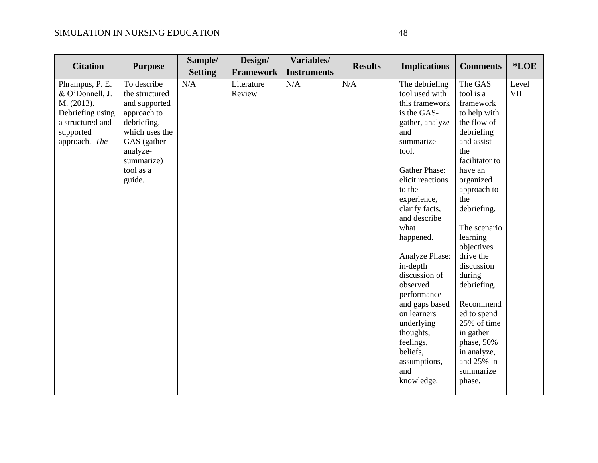| <b>Citation</b>                                                                                                        |                                                                                                                                                                 | Sample/        | Design/              | Variables/         | <b>Results</b> |                                                                                                                                                                                                                                                                                                                                                                                                                                             | <b>Comments</b>                                                                                                                                                                                                                                                                                                                                                                                            | *LOE                |
|------------------------------------------------------------------------------------------------------------------------|-----------------------------------------------------------------------------------------------------------------------------------------------------------------|----------------|----------------------|--------------------|----------------|---------------------------------------------------------------------------------------------------------------------------------------------------------------------------------------------------------------------------------------------------------------------------------------------------------------------------------------------------------------------------------------------------------------------------------------------|------------------------------------------------------------------------------------------------------------------------------------------------------------------------------------------------------------------------------------------------------------------------------------------------------------------------------------------------------------------------------------------------------------|---------------------|
|                                                                                                                        | <b>Purpose</b>                                                                                                                                                  | <b>Setting</b> | <b>Framework</b>     | <b>Instruments</b> |                | <b>Implications</b>                                                                                                                                                                                                                                                                                                                                                                                                                         |                                                                                                                                                                                                                                                                                                                                                                                                            |                     |
| Phrampus, P. E.<br>& O'Donnell, J.<br>M. (2013).<br>Debriefing using<br>a structured and<br>supported<br>approach. The | To describe<br>the structured<br>and supported<br>approach to<br>debriefing,<br>which uses the<br>GAS (gather-<br>analyze-<br>summarize)<br>tool as a<br>guide. | N/A            | Literature<br>Review | N/A                | N/A            | The debriefing<br>tool used with<br>this framework<br>is the GAS-<br>gather, analyze<br>and<br>summarize-<br>tool.<br>Gather Phase:<br>elicit reactions<br>to the<br>experience,<br>clarify facts,<br>and describe<br>what<br>happened.<br>Analyze Phase:<br>in-depth<br>discussion of<br>observed<br>performance<br>and gaps based<br>on learners<br>underlying<br>thoughts,<br>feelings,<br>beliefs,<br>assumptions,<br>and<br>knowledge. | The GAS<br>tool is a<br>framework<br>to help with<br>the flow of<br>debriefing<br>and assist<br>the<br>facilitator to<br>have an<br>organized<br>approach to<br>the<br>debriefing.<br>The scenario<br>learning<br>objectives<br>drive the<br>discussion<br>during<br>debriefing.<br>Recommend<br>ed to spend<br>25% of time<br>in gather<br>phase, 50%<br>in analyze,<br>and 25% in<br>summarize<br>phase. | Level<br><b>VII</b> |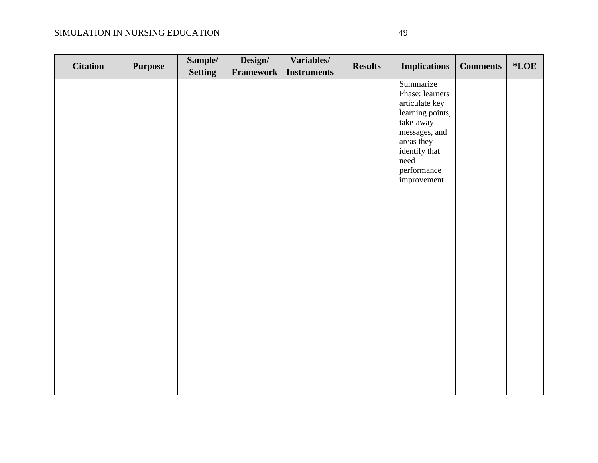| <b>Citation</b> | <b>Purpose</b> | Sample/        | Design/   | Variables/         | <b>Results</b><br><b>Implications</b> |                                                                                                                                                                        | <b>Comments</b> | $*$ <b>LOE</b> |
|-----------------|----------------|----------------|-----------|--------------------|---------------------------------------|------------------------------------------------------------------------------------------------------------------------------------------------------------------------|-----------------|----------------|
|                 |                | <b>Setting</b> | Framework | <b>Instruments</b> |                                       |                                                                                                                                                                        |                 |                |
|                 |                |                |           |                    |                                       | Summarize<br>Phase: learners<br>articulate key<br>learning points,<br>take-away<br>messages, and<br>areas they<br>identify that<br>need<br>performance<br>improvement. |                 |                |
|                 |                |                |           |                    |                                       |                                                                                                                                                                        |                 |                |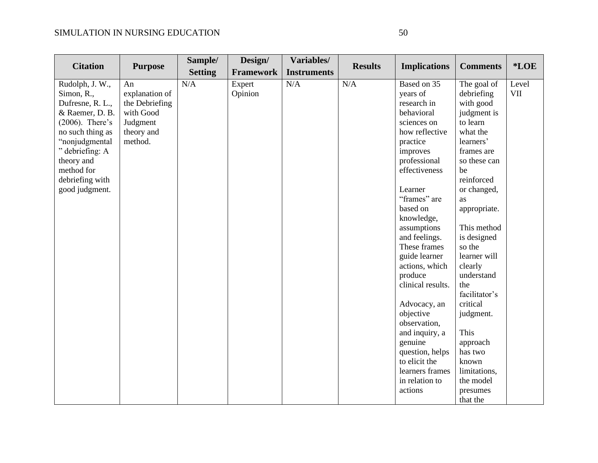|                    |                | Sample/        | Design/          | Variables/         |                |                     |                 |            |
|--------------------|----------------|----------------|------------------|--------------------|----------------|---------------------|-----------------|------------|
| <b>Citation</b>    | <b>Purpose</b> | <b>Setting</b> | <b>Framework</b> | <b>Instruments</b> | <b>Results</b> | <b>Implications</b> | <b>Comments</b> | *LOE       |
| Rudolph, J. W.,    | An             | N/A            | Expert           | N/A                | N/A            | Based on 35         | The goal of     | Level      |
| Simon, R.,         | explanation of |                | Opinion          |                    |                | years of            | debriefing      | <b>VII</b> |
| Dufresne, R. L.,   | the Debriefing |                |                  |                    |                | research in         | with good       |            |
| & Raemer, D. B.    | with Good      |                |                  |                    |                | behavioral          | judgment is     |            |
| $(2006)$ . There's | Judgment       |                |                  |                    |                | sciences on         | to learn        |            |
| no such thing as   | theory and     |                |                  |                    |                | how reflective      | what the        |            |
| "nonjudgmental     | method.        |                |                  |                    |                | practice            | learners'       |            |
| " debriefing: A    |                |                |                  |                    |                | improves            | frames are      |            |
| theory and         |                |                |                  |                    |                | professional        | so these can    |            |
| method for         |                |                |                  |                    |                | effectiveness       | be              |            |
| debriefing with    |                |                |                  |                    |                |                     | reinforced      |            |
| good judgment.     |                |                |                  |                    |                | Learner             | or changed,     |            |
|                    |                |                |                  |                    |                | "frames" are        | as              |            |
|                    |                |                |                  |                    |                | based on            | appropriate.    |            |
|                    |                |                |                  |                    |                | knowledge,          |                 |            |
|                    |                |                |                  |                    |                | assumptions         | This method     |            |
|                    |                |                |                  |                    |                | and feelings.       | is designed     |            |
|                    |                |                |                  |                    |                | These frames        | so the          |            |
|                    |                |                |                  |                    |                | guide learner       | learner will    |            |
|                    |                |                |                  |                    |                | actions, which      | clearly         |            |
|                    |                |                |                  |                    |                | produce             | understand      |            |
|                    |                |                |                  |                    |                | clinical results.   | the             |            |
|                    |                |                |                  |                    |                |                     | facilitator's   |            |
|                    |                |                |                  |                    |                | Advocacy, an        | critical        |            |
|                    |                |                |                  |                    |                | objective           | judgment.       |            |
|                    |                |                |                  |                    |                | observation,        |                 |            |
|                    |                |                |                  |                    |                | and inquiry, a      | This            |            |
|                    |                |                |                  |                    |                | genuine             | approach        |            |
|                    |                |                |                  |                    |                | question, helps     | has two         |            |
|                    |                |                |                  |                    |                | to elicit the       | known           |            |
|                    |                |                |                  |                    |                | learners frames     | limitations,    |            |
|                    |                |                |                  |                    |                | in relation to      | the model       |            |
|                    |                |                |                  |                    |                | actions             | presumes        |            |
|                    |                |                |                  |                    |                |                     | that the        |            |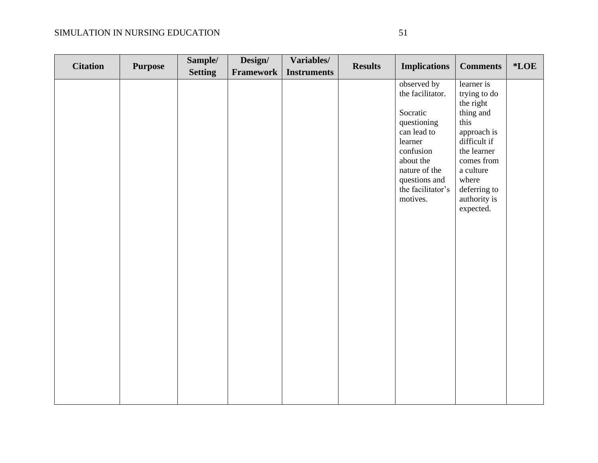| <b>Citation</b> | <b>Purpose</b> | Sample/        | Design/   | Variables/         | <b>Results</b> | <b>Implications</b>                                                                                                                                                               | <b>Comments</b>                                                                                                                                                                             | $*$ <b>LOE</b> |
|-----------------|----------------|----------------|-----------|--------------------|----------------|-----------------------------------------------------------------------------------------------------------------------------------------------------------------------------------|---------------------------------------------------------------------------------------------------------------------------------------------------------------------------------------------|----------------|
|                 |                | <b>Setting</b> | Framework | <b>Instruments</b> |                |                                                                                                                                                                                   |                                                                                                                                                                                             |                |
|                 |                |                |           |                    |                | observed by<br>the facilitator.<br>Socratic<br>questioning<br>can lead to<br>learner<br>confusion<br>about the<br>nature of the<br>questions and<br>the facilitator's<br>motives. | learner is<br>trying to do<br>the right<br>thing and<br>this<br>approach is<br>difficult if<br>the learner<br>comes from<br>a culture<br>where<br>deferring to<br>authority is<br>expected. |                |
|                 |                |                |           |                    |                |                                                                                                                                                                                   |                                                                                                                                                                                             |                |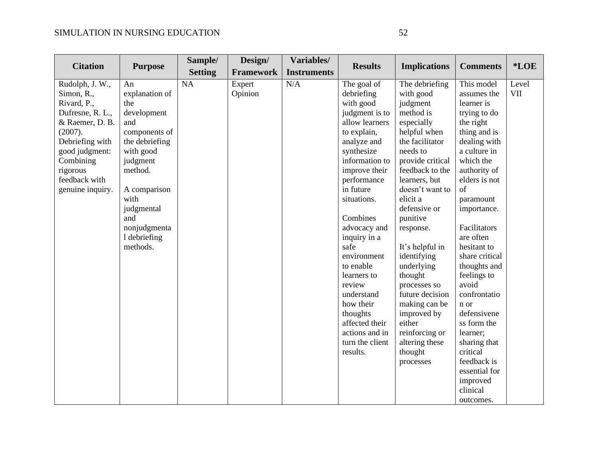| <b>Citation</b>            | <b>Purpose</b>                  | Sample/        | Design/          | Variables/         | <b>Results</b>                   | <b>Implications</b>        | <b>Comments</b>           | *LOE       |
|----------------------------|---------------------------------|----------------|------------------|--------------------|----------------------------------|----------------------------|---------------------------|------------|
|                            |                                 | <b>Setting</b> | <b>Framework</b> | <b>Instruments</b> |                                  |                            |                           |            |
| Rudolph, J. W.,            | An                              | <b>NA</b>      | Expert           | N/A                | The goal of                      | The debriefing             | This model                | Level      |
| Simon, R.,                 | explanation of                  |                | Opinion          |                    | debriefing                       | with good                  | assumes the               | <b>VII</b> |
| Rivard, P.,                | the                             |                |                  |                    | with good                        | judgment                   | learner is                |            |
| Dufresne, R. L.,           | development<br>and              |                |                  |                    | judgment is to<br>allow learners | method is                  | trying to do              |            |
| & Raemer, D. B.<br>(2007). |                                 |                |                  |                    | to explain,                      | especially<br>helpful when | the right<br>thing and is |            |
| Debriefing with            | components of<br>the debriefing |                |                  |                    | analyze and                      | the facilitator            | dealing with              |            |
| good judgment:             | with good                       |                |                  |                    | synthesize                       | needs to                   | a culture in              |            |
| Combining                  | judgment                        |                |                  |                    | information to                   | provide critical           | which the                 |            |
| rigorous                   | method.                         |                |                  |                    | improve their                    | feedback to the            | authority of              |            |
| feedback with              |                                 |                |                  |                    | performance                      | learners, but              | elders is not             |            |
| genuine inquiry.           | A comparison                    |                |                  |                    | in future                        | doesn't want to            | of                        |            |
|                            | with                            |                |                  |                    | situations.                      | elicit a                   | paramount                 |            |
|                            | judgmental                      |                |                  |                    |                                  | defensive or               | importance.               |            |
|                            | and                             |                |                  |                    | Combines                         | punitive                   |                           |            |
|                            | nonjudgmenta                    |                |                  |                    | advocacy and                     | response.                  | Facilitators              |            |
|                            | 1 debriefing                    |                |                  |                    | inquiry in a                     |                            | are often                 |            |
|                            | methods.                        |                |                  |                    | safe                             | It's helpful in            | hesitant to               |            |
|                            |                                 |                |                  |                    | environment                      | identifying                | share critical            |            |
|                            |                                 |                |                  |                    | to enable                        | underlying                 | thoughts and              |            |
|                            |                                 |                |                  |                    | learners to                      | thought                    | feelings to               |            |
|                            |                                 |                |                  |                    | review                           | processes so               | avoid                     |            |
|                            |                                 |                |                  |                    | understand                       | future decision            | confrontatio              |            |
|                            |                                 |                |                  |                    | how their                        | making can be              | n or                      |            |
|                            |                                 |                |                  |                    | thoughts                         | improved by                | defensivene               |            |
|                            |                                 |                |                  |                    | affected their                   | either                     | ss form the               |            |
|                            |                                 |                |                  |                    | actions and in                   | reinforcing or             | learner;                  |            |
|                            |                                 |                |                  |                    | turn the client                  | altering these             | sharing that              |            |
|                            |                                 |                |                  |                    | results.                         | thought                    | critical                  |            |
|                            |                                 |                |                  |                    |                                  | processes                  | feedback is               |            |
|                            |                                 |                |                  |                    |                                  |                            | essential for             |            |
|                            |                                 |                |                  |                    |                                  |                            | improved                  |            |
|                            |                                 |                |                  |                    |                                  |                            | clinical                  |            |
|                            |                                 |                |                  |                    |                                  |                            | outcomes.                 |            |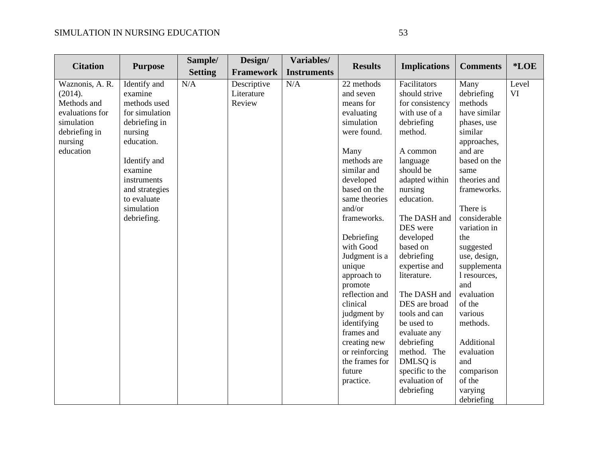| <b>Citation</b>                                                                                                     |                                                                                                                                                                                                             | Sample/        | Design/                             | Variables/         | <b>Results</b>                                                                                                                                                                                                                                                                                                                                                                                                                    |                                                                                                                                                                                                                                                                                                                                                                                                                                            |                                                                                                                                                                                                                                                                                                                                                                                          | *LOE        |
|---------------------------------------------------------------------------------------------------------------------|-------------------------------------------------------------------------------------------------------------------------------------------------------------------------------------------------------------|----------------|-------------------------------------|--------------------|-----------------------------------------------------------------------------------------------------------------------------------------------------------------------------------------------------------------------------------------------------------------------------------------------------------------------------------------------------------------------------------------------------------------------------------|--------------------------------------------------------------------------------------------------------------------------------------------------------------------------------------------------------------------------------------------------------------------------------------------------------------------------------------------------------------------------------------------------------------------------------------------|------------------------------------------------------------------------------------------------------------------------------------------------------------------------------------------------------------------------------------------------------------------------------------------------------------------------------------------------------------------------------------------|-------------|
|                                                                                                                     | <b>Purpose</b>                                                                                                                                                                                              | <b>Setting</b> | <b>Framework</b>                    | <b>Instruments</b> |                                                                                                                                                                                                                                                                                                                                                                                                                                   | <b>Implications</b>                                                                                                                                                                                                                                                                                                                                                                                                                        | <b>Comments</b>                                                                                                                                                                                                                                                                                                                                                                          |             |
| Waznonis, A. R.<br>(2014).<br>Methods and<br>evaluations for<br>simulation<br>debriefing in<br>nursing<br>education | Identify and<br>examine<br>methods used<br>for simulation<br>debriefing in<br>nursing<br>education.<br>Identify and<br>examine<br>instruments<br>and strategies<br>to evaluate<br>simulation<br>debriefing. | N/A            | Descriptive<br>Literature<br>Review | N/A                | 22 methods<br>and seven<br>means for<br>evaluating<br>simulation<br>were found.<br>Many<br>methods are<br>similar and<br>developed<br>based on the<br>same theories<br>and/or<br>frameworks.<br>Debriefing<br>with Good<br>Judgment is a<br>unique<br>approach to<br>promote<br>reflection and<br>clinical<br>judgment by<br>identifying<br>frames and<br>creating new<br>or reinforcing<br>the frames for<br>future<br>practice. | Facilitators<br>should strive<br>for consistency<br>with use of a<br>debriefing<br>method.<br>A common<br>language<br>should be<br>adapted within<br>nursing<br>education.<br>The DASH and<br>DES were<br>developed<br>based on<br>debriefing<br>expertise and<br>literature.<br>The DASH and<br>DES are broad<br>tools and can<br>be used to<br>evaluate any<br>debriefing<br>method. The<br>DMLSQ is<br>specific to the<br>evaluation of | Many<br>debriefing<br>methods<br>have similar<br>phases, use<br>similar<br>approaches,<br>and are<br>based on the<br>same<br>theories and<br>frameworks.<br>There is<br>considerable<br>variation in<br>the<br>suggested<br>use, design,<br>supplementa<br>l resources,<br>and<br>evaluation<br>of the<br>various<br>methods.<br>Additional<br>evaluation<br>and<br>comparison<br>of the | Level<br>VI |
|                                                                                                                     |                                                                                                                                                                                                             |                |                                     |                    |                                                                                                                                                                                                                                                                                                                                                                                                                                   | debriefing                                                                                                                                                                                                                                                                                                                                                                                                                                 | varying<br>debriefing                                                                                                                                                                                                                                                                                                                                                                    |             |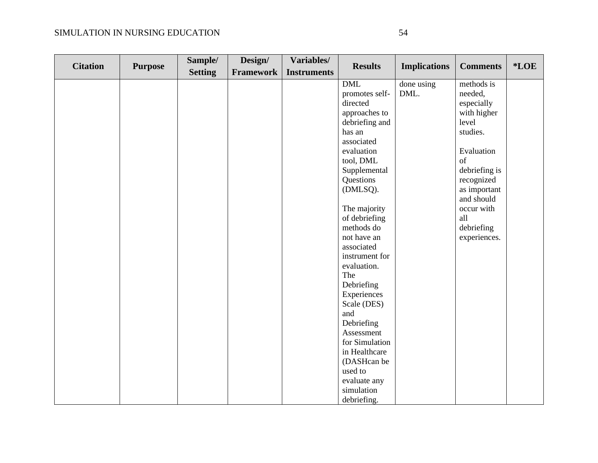| <b>Citation</b> | <b>Purpose</b> | Sample/        | Design/          | Variables/         | <b>Results</b> | <b>Implications</b> | <b>Comments</b> | *LOE |
|-----------------|----------------|----------------|------------------|--------------------|----------------|---------------------|-----------------|------|
|                 |                | <b>Setting</b> | <b>Framework</b> | <b>Instruments</b> |                |                     |                 |      |
|                 |                |                |                  |                    | <b>DML</b>     | done using          | methods is      |      |
|                 |                |                |                  |                    | promotes self- | DML.                | needed,         |      |
|                 |                |                |                  |                    | directed       |                     | especially      |      |
|                 |                |                |                  |                    | approaches to  |                     | with higher     |      |
|                 |                |                |                  |                    | debriefing and |                     | level           |      |
|                 |                |                |                  |                    | has an         |                     | studies.        |      |
|                 |                |                |                  |                    | associated     |                     |                 |      |
|                 |                |                |                  |                    | evaluation     |                     | Evaluation      |      |
|                 |                |                |                  |                    | tool, DML      |                     | of              |      |
|                 |                |                |                  |                    | Supplemental   |                     | debriefing is   |      |
|                 |                |                |                  |                    | Questions      |                     | recognized      |      |
|                 |                |                |                  |                    | (DMLSQ).       |                     | as important    |      |
|                 |                |                |                  |                    |                |                     | and should      |      |
|                 |                |                |                  |                    | The majority   |                     | occur with      |      |
|                 |                |                |                  |                    | of debriefing  |                     | all             |      |
|                 |                |                |                  |                    | methods do     |                     | debriefing      |      |
|                 |                |                |                  |                    | not have an    |                     | experiences.    |      |
|                 |                |                |                  |                    | associated     |                     |                 |      |
|                 |                |                |                  |                    | instrument for |                     |                 |      |
|                 |                |                |                  |                    | evaluation.    |                     |                 |      |
|                 |                |                |                  |                    | The            |                     |                 |      |
|                 |                |                |                  |                    | Debriefing     |                     |                 |      |
|                 |                |                |                  |                    | Experiences    |                     |                 |      |
|                 |                |                |                  |                    | Scale (DES)    |                     |                 |      |
|                 |                |                |                  |                    | and            |                     |                 |      |
|                 |                |                |                  |                    | Debriefing     |                     |                 |      |
|                 |                |                |                  |                    | Assessment     |                     |                 |      |
|                 |                |                |                  |                    | for Simulation |                     |                 |      |
|                 |                |                |                  |                    | in Healthcare  |                     |                 |      |
|                 |                |                |                  |                    | (DASHcan be    |                     |                 |      |
|                 |                |                |                  |                    | used to        |                     |                 |      |
|                 |                |                |                  |                    | evaluate any   |                     |                 |      |
|                 |                |                |                  |                    | simulation     |                     |                 |      |
|                 |                |                |                  |                    | debriefing.    |                     |                 |      |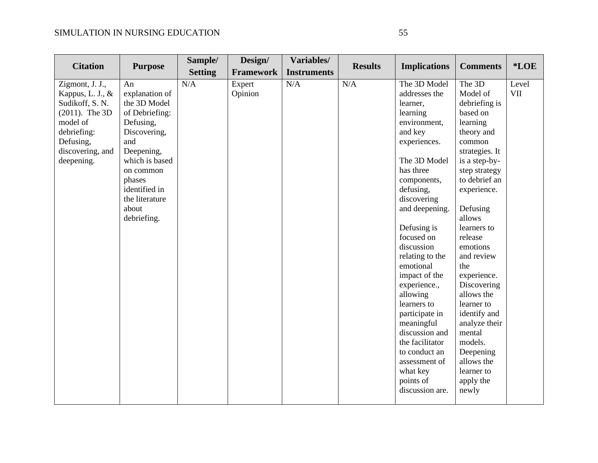| <b>Citation</b>                                                                                                                                          | <b>Purpose</b>                                                                                                                                                                                               | Sample/               | Design/                               | Variables/                | <b>Results</b> | <b>Implications</b>                                                                                                                                                                                                                                                                                                                                                                 | <b>Comments</b>                                                                                                                                                                                                                                                                                                                                               | *LOE         |
|----------------------------------------------------------------------------------------------------------------------------------------------------------|--------------------------------------------------------------------------------------------------------------------------------------------------------------------------------------------------------------|-----------------------|---------------------------------------|---------------------------|----------------|-------------------------------------------------------------------------------------------------------------------------------------------------------------------------------------------------------------------------------------------------------------------------------------------------------------------------------------------------------------------------------------|---------------------------------------------------------------------------------------------------------------------------------------------------------------------------------------------------------------------------------------------------------------------------------------------------------------------------------------------------------------|--------------|
| Zigmont, J. J.,<br>Kappus, L. J., $\&$<br>Sudikoff, S. N.<br>$(2011)$ . The 3D<br>model of<br>debriefing:<br>Defusing,<br>discovering, and<br>deepening. | An<br>explanation of<br>the 3D Model<br>of Debriefing:<br>Defusing,<br>Discovering,<br>and<br>Deepening,<br>which is based<br>on common<br>phases<br>identified in<br>the literature<br>about<br>debriefing. | <b>Setting</b><br>N/A | <b>Framework</b><br>Expert<br>Opinion | <b>Instruments</b><br>N/A | N/A            | The 3D Model<br>addresses the<br>learner,<br>learning<br>environment,<br>and key<br>experiences.<br>The 3D Model<br>has three<br>components,<br>defusing,<br>discovering<br>and deepening.<br>Defusing is<br>focused on<br>discussion<br>relating to the<br>emotional<br>impact of the<br>experience.,<br>allowing<br>learners to<br>participate in<br>meaningful<br>discussion and | The 3D<br>Model of<br>debriefing is<br>based on<br>learning<br>theory and<br>common<br>strategies. It<br>is a step-by-<br>step strategy<br>to debrief an<br>experience.<br>Defusing<br>allows<br>learners to<br>release<br>emotions<br>and review<br>the<br>experience.<br>Discovering<br>allows the<br>learner to<br>identify and<br>analyze their<br>mental | Level<br>VII |
|                                                                                                                                                          |                                                                                                                                                                                                              |                       |                                       |                           |                | the facilitator<br>to conduct an<br>assessment of<br>what key<br>points of<br>discussion are.                                                                                                                                                                                                                                                                                       | models.<br>Deepening<br>allows the<br>learner to<br>apply the<br>newly                                                                                                                                                                                                                                                                                        |              |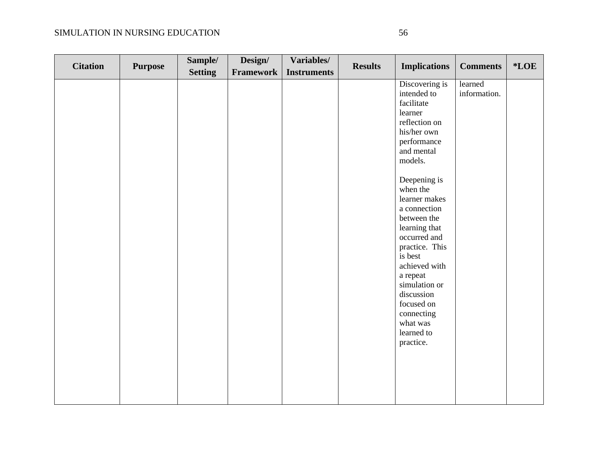| <b>Citation</b> | <b>Purpose</b> | Sample/        | Design/          | Variables/         | <b>Results</b> | <b>Implications</b>                                                                                                                                                                                                                                                                                                                                                                                     | <b>Comments</b>         | *LOE |
|-----------------|----------------|----------------|------------------|--------------------|----------------|---------------------------------------------------------------------------------------------------------------------------------------------------------------------------------------------------------------------------------------------------------------------------------------------------------------------------------------------------------------------------------------------------------|-------------------------|------|
|                 |                |                |                  |                    |                |                                                                                                                                                                                                                                                                                                                                                                                                         |                         |      |
|                 |                | <b>Setting</b> | <b>Framework</b> | <b>Instruments</b> |                | Discovering is<br>intended to<br>facilitate<br>learner<br>reflection on<br>his/her own<br>performance<br>and mental<br>models.<br>Deepening is<br>when the<br>learner makes<br>a connection<br>between the<br>learning that<br>occurred and<br>practice. This<br>is best<br>achieved with<br>a repeat<br>simulation or<br>discussion<br>focused on<br>connecting<br>what was<br>learned to<br>practice. | learned<br>information. |      |
|                 |                |                |                  |                    |                |                                                                                                                                                                                                                                                                                                                                                                                                         |                         |      |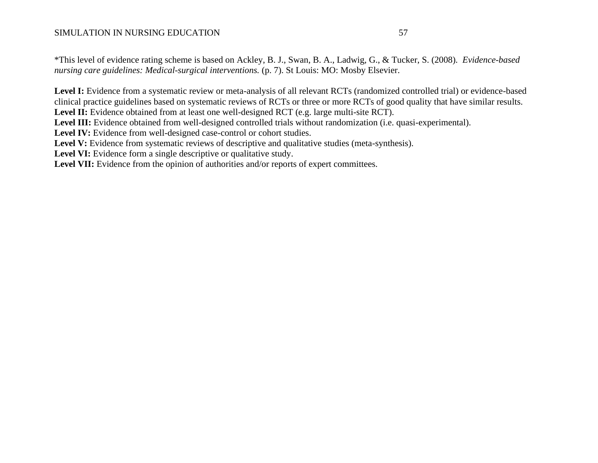\*This level of evidence rating scheme is based on Ackley, B. J., Swan, B. A., Ladwig, G., & Tucker, S. (2008). *Evidence-based nursing care guidelines: Medical-surgical interventions.* (p. 7). St Louis: MO: Mosby Elsevier.

Level I: Evidence from a systematic review or meta-analysis of all relevant RCTs (randomized controlled trial) or evidence-based clinical practice guidelines based on systematic reviews of RCTs or three or more RCTs of good quality that have similar results. Level II: Evidence obtained from at least one well-designed RCT (e.g. large multi-site RCT).

Level III: Evidence obtained from well-designed controlled trials without randomization (i.e. quasi-experimental).

**Level IV:** Evidence from well-designed case-control or cohort studies.

Level V: Evidence from systematic reviews of descriptive and qualitative studies (meta-synthesis).

Level VI: Evidence form a single descriptive or qualitative study.

Level VII: Evidence from the opinion of authorities and/or reports of expert committees.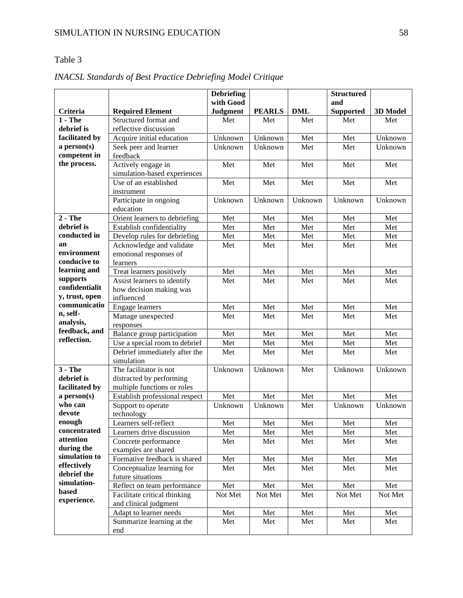### Table 3

|                   |                                          | <b>Debriefing</b> |               |            | <b>Structured</b> |          |
|-------------------|------------------------------------------|-------------------|---------------|------------|-------------------|----------|
|                   |                                          | with Good         |               |            | and               |          |
| Criteria          | <b>Required Element</b>                  | <b>Judgment</b>   | <b>PEARLS</b> | <b>DML</b> | <b>Supported</b>  | 3D Model |
| $1 - The$         | Structured format and                    | Met               | Met           | Met        | Met               | Met      |
| debrief is        | reflective discussion                    |                   |               |            |                   |          |
| facilitated by    | Acquire initial education                | Unknown           | Unknown       | Met        | Met               | Unknown  |
| a person(s)       | Seek peer and learner                    | Unknown           | Unknown       | Met        | Met               | Unknown  |
| competent in      | feedback                                 |                   |               |            |                   |          |
| the process.      | Actively engage in                       | Met               | Met           | Met        | Met               | Met      |
|                   | simulation-based experiences             |                   |               |            |                   |          |
|                   | Use of an established                    | Met               | Met           | Met        | Met               | Met      |
|                   | instrument                               |                   |               |            |                   |          |
|                   | Participate in ongoing                   | Unknown           | Unknown       | Unknown    | Unknown           | Unknown  |
|                   | education                                |                   |               |            |                   |          |
| $2 - The$         | Orient learners to debriefing            | Met               | Met           | Met        | Met               | Met      |
| debrief is        | Establish confidentiality                | Met               | Met           | Met        | Met               | Met      |
| conducted in      | Develop rules for debriefing             | Met               | Met           | Met        | Met               | Met      |
| an<br>environment | Acknowledge and validate                 | Met               | Met           | Met        | Met               | Met      |
| conducive to      | emotional responses of                   |                   |               |            |                   |          |
| learning and      | learners                                 |                   |               |            |                   |          |
| supports          | Treat learners positively                | Met               | Met           | Met        | Met               | Met      |
| confidentialit    | Assist learners to identify              | Met               | Met           | Met        | Met               | Met      |
| y, trust, open    | how decision making was                  |                   |               |            |                   |          |
| communicatio      | influenced                               |                   |               |            |                   |          |
| n, self-          | <b>Engage</b> learners                   | Met               | Met           | Met        | Met               | Met      |
| analysis,         | Manage unexpected                        | Met               | Met           | Met        | Met               | Met      |
| feedback, and     | responses<br>Balance group participation | Met               | Met           | Met        | Met               | Met      |
| reflection.       | Use a special room to debrief            | Met               | Met           | Met        | Met               | Met      |
|                   | Debrief immediately after the            | Met               | Met           | Met        | Met               | Met      |
|                   | simulation                               |                   |               |            |                   |          |
| $3 - The$         | The facilitator is not                   | Unknown           | Unknown       | Met        | Unknown           | Unknown  |
| debrief is        | distracted by performing                 |                   |               |            |                   |          |
| facilitated by    | multiple functions or roles              |                   |               |            |                   |          |
| a person(s)       | Establish professional respect           | Met               | Met           | Met        | Met               | Met      |
| who can           | Support to operate                       | Unknown           | Unknown       | Met        | Unknown           | Unknown  |
| devote            | technology                               |                   |               |            |                   |          |
| enough            | Learners self-reflect                    | Met               | Met           | Met        | Met               | Met      |
| concentrated      | Learners drive discussion                | Met               | Met           | Met        | Met               | Met      |
| attention         | Concrete performance                     | Met               | Met           | Met        | Met               | Met      |
| during the        | examples are shared                      |                   |               |            |                   |          |
| simulation to     | Formative feedback is shared             | Met               | Met           | Met        | Met               | Met      |
| effectively       | Conceptualize learning for               | Met               | Met           | Met        | Met               | Met      |
| debrief the       | future situations                        |                   |               |            |                   |          |
| simulation-       | Reflect on team performance              | Met               | Met           | Met        | Met               | Met      |
| based             | Facilitate critical thinking             | Not Met           | Not Met       | Met        | Not Met           | Not Met  |
| experience.       | and clinical judgment                    |                   |               |            |                   |          |
|                   | Adapt to learner needs                   | Met               | Met           | Met        | Met               | Met      |
|                   | Summarize learning at the                | Met               | Met           | Met        | Met               | Met      |
|                   | end                                      |                   |               |            |                   |          |

# *INACSL Standards of Best Practice Debriefing Model Critique*